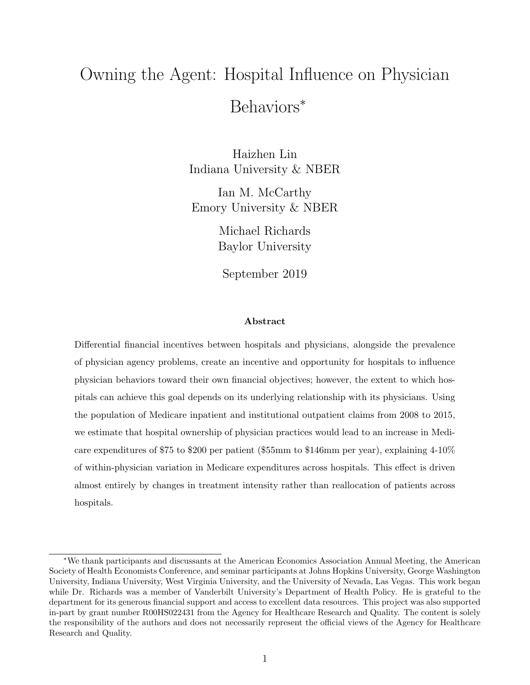# Owning the Agent: Hospital Influence on Physician Behaviors<sup>∗</sup>

Haizhen Lin Indiana University & NBER

Ian M. McCarthy Emory University & NBER

> Michael Richards Baylor University

September 2019

#### Abstract

Differential financial incentives between hospitals and physicians, alongside the prevalence of physician agency problems, create an incentive and opportunity for hospitals to influence physician behaviors toward their own financial objectives; however, the extent to which hospitals can achieve this goal depends on its underlying relationship with its physicians. Using the population of Medicare inpatient and institutional outpatient claims from 2008 to 2015, we estimate that hospital ownership of physician practices would lead to an increase in Medicare expenditures of \$75 to \$200 per patient (\$55mm to \$146mm per year), explaining 4-10% of within-physician variation in Medicare expenditures across hospitals. This effect is driven almost entirely by changes in treatment intensity rather than reallocation of patients across hospitals.

<sup>∗</sup>We thank participants and discussants at the American Economics Association Annual Meeting, the American Society of Health Economists Conference, and seminar participants at Johns Hopkins University, George Washington University, Indiana University, West Virginia University, and the University of Nevada, Las Vegas. This work began while Dr. Richards was a member of Vanderbilt University's Department of Health Policy. He is grateful to the department for its generous financial support and access to excellent data resources. This project was also supported in-part by grant number R00HS022431 from the Agency for Healthcare Research and Quality. The content is solely the responsibility of the authors and does not necessarily represent the official views of the Agency for Healthcare Research and Quality.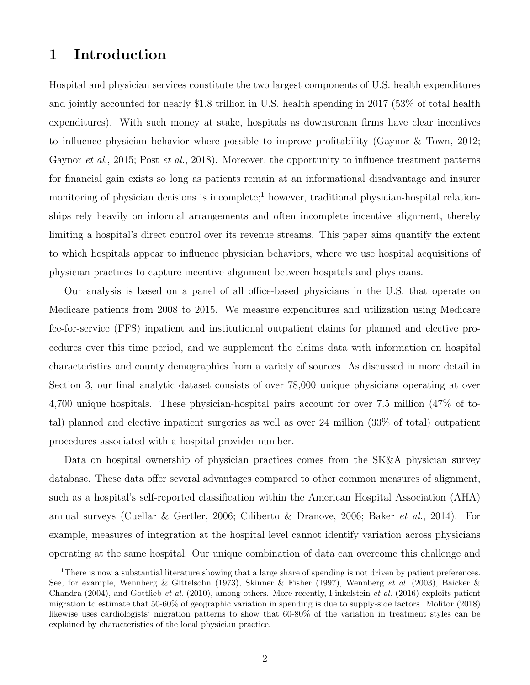# 1 Introduction

Hospital and physician services constitute the two largest components of U.S. health expenditures and jointly accounted for nearly \$1.8 trillion in U.S. health spending in 2017 (53% of total health expenditures). With such money at stake, hospitals as downstream firms have clear incentives to influence physician behavior where possible to improve profitability [\(Gaynor & Town,](#page-31-0) [2012;](#page-31-0) [Gaynor](#page-31-1) *[et al.](#page-32-0)*, [2015;](#page-31-1) Post *et al.*, [2018\)](#page-32-0). Moreover, the opportunity to influence treatment patterns for financial gain exists so long as patients remain at an informational disadvantage and insurer monitoring of physician decisions is incomplete;<sup>[1](#page-1-0)</sup> however, traditional physician-hospital relationships rely heavily on informal arrangements and often incomplete incentive alignment, thereby limiting a hospital's direct control over its revenue streams. This paper aims quantify the extent to which hospitals appear to influence physician behaviors, where we use hospital acquisitions of physician practices to capture incentive alignment between hospitals and physicians.

Our analysis is based on a panel of all office-based physicians in the U.S. that operate on Medicare patients from 2008 to 2015. We measure expenditures and utilization using Medicare fee-for-service (FFS) inpatient and institutional outpatient claims for planned and elective procedures over this time period, and we supplement the claims data with information on hospital characteristics and county demographics from a variety of sources. As discussed in more detail in Section [3,](#page-9-0) our final analytic dataset consists of over 78,000 unique physicians operating at over 4,700 unique hospitals. These physician-hospital pairs account for over 7.5 million (47% of total) planned and elective inpatient surgeries as well as over 24 million (33% of total) outpatient procedures associated with a hospital provider number.

Data on hospital ownership of physician practices comes from the SK&A physician survey database. These data offer several advantages compared to other common measures of alignment, such as a hospital's self-reported classification within the American Hospital Association (AHA) annual surveys [\(Cuellar & Gertler,](#page-31-2) [2006;](#page-31-2) [Ciliberto & Dranove,](#page-30-0) [2006;](#page-30-0) [Baker](#page-30-1) et al., [2014\)](#page-30-1). For example, measures of integration at the hospital level cannot identify variation across physicians operating at the same hospital. Our unique combination of data can overcome this challenge and

<span id="page-1-0"></span><sup>&</sup>lt;sup>1</sup>There is now a substantial literature showing that a large share of spending is not driven by patient preferences. See, for example, [Wennberg & Gittelsohn](#page-32-1) [\(1973\)](#page-32-1), [Skinner & Fisher](#page-32-2) [\(1997\)](#page-32-2), [Wennberg](#page-32-3) et al. [\(2003\)](#page-32-3), [Baicker &](#page-30-2) [Chandra](#page-30-2) [\(2004\)](#page-30-2), and [Gottlieb](#page-32-4) et al. [\(2010\)](#page-32-4), among others. More recently, [Finkelstein](#page-31-3) et al. [\(2016\)](#page-31-3) exploits patient migration to estimate that 50-60% of geographic variation in spending is due to supply-side factors. [Molitor](#page-32-5) [\(2018\)](#page-32-5) likewise uses cardiologists' migration patterns to show that 60-80% of the variation in treatment styles can be explained by characteristics of the local physician practice.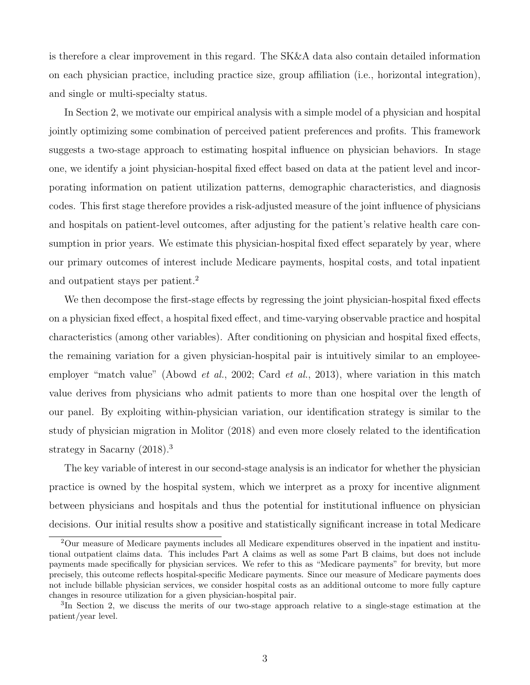is therefore a clear improvement in this regard. The SK&A data also contain detailed information on each physician practice, including practice size, group affiliation (i.e., horizontal integration), and single or multi-specialty status.

In Section [2,](#page-6-0) we motivate our empirical analysis with a simple model of a physician and hospital jointly optimizing some combination of perceived patient preferences and profits. This framework suggests a two-stage approach to estimating hospital influence on physician behaviors. In stage one, we identify a joint physician-hospital fixed effect based on data at the patient level and incorporating information on patient utilization patterns, demographic characteristics, and diagnosis codes. This first stage therefore provides a risk-adjusted measure of the joint influence of physicians and hospitals on patient-level outcomes, after adjusting for the patient's relative health care consumption in prior years. We estimate this physician-hospital fixed effect separately by year, where our primary outcomes of interest include Medicare payments, hospital costs, and total inpatient and outpatient stays per patient.[2](#page-2-0)

We then decompose the first-stage effects by regressing the joint physician-hospital fixed effects on a physician fixed effect, a hospital fixed effect, and time-varying observable practice and hospital characteristics (among other variables). After conditioning on physician and hospital fixed effects, the remaining variation for a given physician-hospital pair is intuitively similar to an employee-employer "match value" [\(Abowd](#page-30-3) *[et al.](#page-30-4)*, [2002;](#page-30-3) Card *et al.*, [2013\)](#page-30-4), where variation in this match value derives from physicians who admit patients to more than one hospital over the length of our panel. By exploiting within-physician variation, our identification strategy is similar to the study of physician migration in [Molitor](#page-32-5) [\(2018\)](#page-32-5) and even more closely related to the identification strategy in [Sacarny](#page-32-6)  $(2018)^3$  $(2018)^3$  $(2018)^3$ 

The key variable of interest in our second-stage analysis is an indicator for whether the physician practice is owned by the hospital system, which we interpret as a proxy for incentive alignment between physicians and hospitals and thus the potential for institutional influence on physician decisions. Our initial results show a positive and statistically significant increase in total Medicare

<span id="page-2-0"></span><sup>2</sup>Our measure of Medicare payments includes all Medicare expenditures observed in the inpatient and institutional outpatient claims data. This includes Part A claims as well as some Part B claims, but does not include payments made specifically for physician services. We refer to this as "Medicare payments" for brevity, but more precisely, this outcome reflects hospital-specific Medicare payments. Since our measure of Medicare payments does not include billable physician services, we consider hospital costs as an additional outcome to more fully capture changes in resource utilization for a given physician-hospital pair.

<span id="page-2-1"></span><sup>&</sup>lt;sup>3</sup>In Section [2,](#page-6-0) we discuss the merits of our two-stage approach relative to a single-stage estimation at the patient/year level.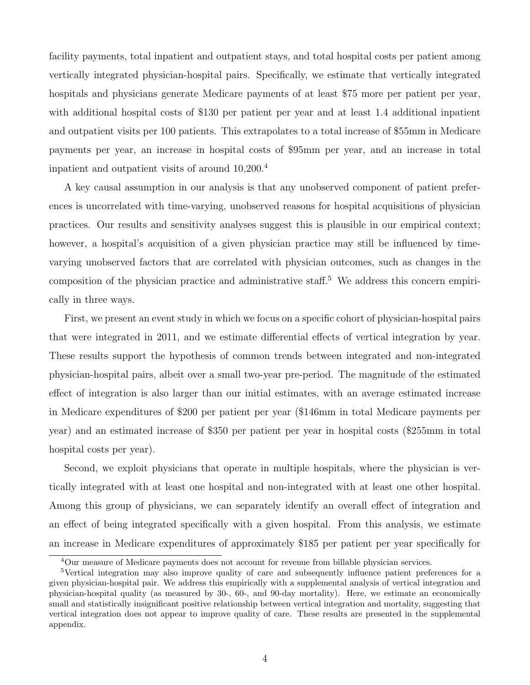facility payments, total inpatient and outpatient stays, and total hospital costs per patient among vertically integrated physician-hospital pairs. Specifically, we estimate that vertically integrated hospitals and physicians generate Medicare payments of at least \$75 more per patient per year, with additional hospital costs of \$130 per patient per year and at least 1.4 additional inpatient and outpatient visits per 100 patients. This extrapolates to a total increase of \$55mm in Medicare payments per year, an increase in hospital costs of \$95mm per year, and an increase in total inpatient and outpatient visits of around 10,200.[4](#page-3-0)

A key causal assumption in our analysis is that any unobserved component of patient preferences is uncorrelated with time-varying, unobserved reasons for hospital acquisitions of physician practices. Our results and sensitivity analyses suggest this is plausible in our empirical context; however, a hospital's acquisition of a given physician practice may still be influenced by timevarying unobserved factors that are correlated with physician outcomes, such as changes in the composition of the physician practice and administrative staff.<sup>[5](#page-3-1)</sup> We address this concern empirically in three ways.

First, we present an event study in which we focus on a specific cohort of physician-hospital pairs that were integrated in 2011, and we estimate differential effects of vertical integration by year. These results support the hypothesis of common trends between integrated and non-integrated physician-hospital pairs, albeit over a small two-year pre-period. The magnitude of the estimated effect of integration is also larger than our initial estimates, with an average estimated increase in Medicare expenditures of \$200 per patient per year (\$146mm in total Medicare payments per year) and an estimated increase of \$350 per patient per year in hospital costs (\$255mm in total hospital costs per year).

Second, we exploit physicians that operate in multiple hospitals, where the physician is vertically integrated with at least one hospital and non-integrated with at least one other hospital. Among this group of physicians, we can separately identify an overall effect of integration and an effect of being integrated specifically with a given hospital. From this analysis, we estimate an increase in Medicare expenditures of approximately \$185 per patient per year specifically for

<span id="page-3-1"></span><span id="page-3-0"></span><sup>&</sup>lt;sup>4</sup>Our measure of Medicare payments does not account for revenue from billable physician services.

<sup>5</sup>Vertical integration may also improve quality of care and subsequently influence patient preferences for a given physician-hospital pair. We address this empirically with a supplemental analysis of vertical integration and physician-hospital quality (as measured by 30-, 60-, and 90-day mortality). Here, we estimate an economically small and statistically insignificant positive relationship between vertical integration and mortality, suggesting that vertical integration does not appear to improve quality of care. These results are presented in the supplemental appendix.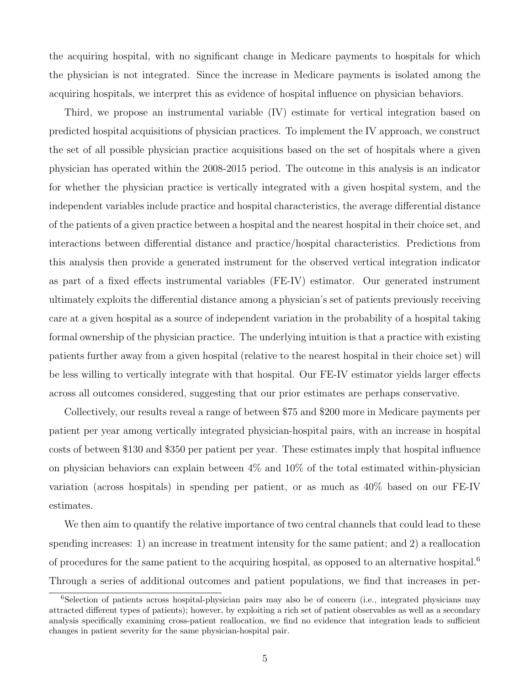the acquiring hospital, with no significant change in Medicare payments to hospitals for which the physician is not integrated. Since the increase in Medicare payments is isolated among the acquiring hospitals, we interpret this as evidence of hospital influence on physician behaviors.

Third, we propose an instrumental variable (IV) estimate for vertical integration based on predicted hospital acquisitions of physician practices. To implement the IV approach, we construct the set of all possible physician practice acquisitions based on the set of hospitals where a given physician has operated within the 2008-2015 period. The outcome in this analysis is an indicator for whether the physician practice is vertically integrated with a given hospital system, and the independent variables include practice and hospital characteristics, the average differential distance of the patients of a given practice between a hospital and the nearest hospital in their choice set, and interactions between differential distance and practice/hospital characteristics. Predictions from this analysis then provide a generated instrument for the observed vertical integration indicator as part of a fixed effects instrumental variables (FE-IV) estimator. Our generated instrument ultimately exploits the differential distance among a physician's set of patients previously receiving care at a given hospital as a source of independent variation in the probability of a hospital taking formal ownership of the physician practice. The underlying intuition is that a practice with existing patients further away from a given hospital (relative to the nearest hospital in their choice set) will be less willing to vertically integrate with that hospital. Our FE-IV estimator yields larger effects across all outcomes considered, suggesting that our prior estimates are perhaps conservative.

Collectively, our results reveal a range of between \$75 and \$200 more in Medicare payments per patient per year among vertically integrated physician-hospital pairs, with an increase in hospital costs of between \$130 and \$350 per patient per year. These estimates imply that hospital influence on physician behaviors can explain between  $4\%$  and  $10\%$  of the total estimated within-physician variation (across hospitals) in spending per patient, or as much as 40% based on our FE-IV estimates.

We then aim to quantify the relative importance of two central channels that could lead to these spending increases: 1) an increase in treatment intensity for the same patient; and 2) a reallocation of procedures for the same patient to the acquiring hospital, as opposed to an alternative hospital.<sup>[6](#page-4-0)</sup> Through a series of additional outcomes and patient populations, we find that increases in per-

<span id="page-4-0"></span><sup>6</sup>Selection of patients across hospital-physician pairs may also be of concern (i.e., integrated physicians may attracted different types of patients); however, by exploiting a rich set of patient observables as well as a secondary analysis specifically examining cross-patient reallocation, we find no evidence that integration leads to sufficient changes in patient severity for the same physician-hospital pair.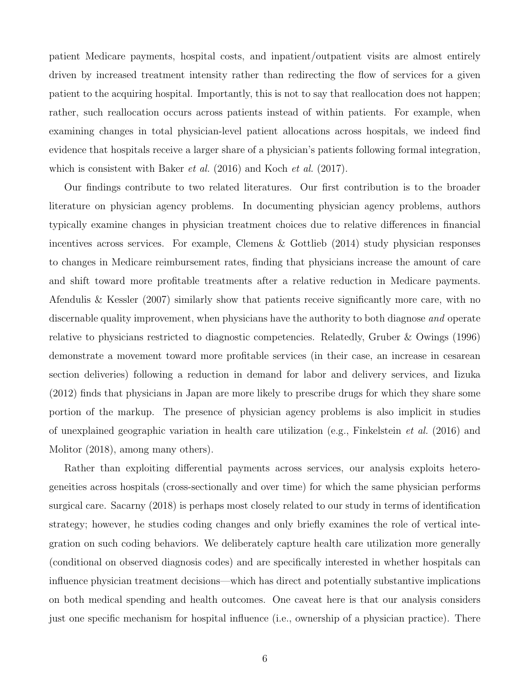patient Medicare payments, hospital costs, and inpatient/outpatient visits are almost entirely driven by increased treatment intensity rather than redirecting the flow of services for a given patient to the acquiring hospital. Importantly, this is not to say that reallocation does not happen; rather, such reallocation occurs across patients instead of within patients. For example, when examining changes in total physician-level patient allocations across hospitals, we indeed find evidence that hospitals receive a larger share of a physician's patients following formal integration, which is consistent with [Baker](#page-30-5) *et al.* [\(2016\)](#page-30-5) and [Koch](#page-32-7) *et al.* [\(2017\)](#page-32-7).

Our findings contribute to two related literatures. Our first contribution is to the broader literature on physician agency problems. In documenting physician agency problems, authors typically examine changes in physician treatment choices due to relative differences in financial incentives across services. For example, [Clemens & Gottlieb](#page-31-4) [\(2014\)](#page-31-4) study physician responses to changes in Medicare reimbursement rates, finding that physicians increase the amount of care and shift toward more profitable treatments after a relative reduction in Medicare payments. [Afendulis & Kessler](#page-30-6) [\(2007\)](#page-30-6) similarly show that patients receive significantly more care, with no discernable quality improvement, when physicians have the authority to both diagnose and operate relative to physicians restricted to diagnostic competencies. Relatedly, [Gruber & Owings](#page-32-8) [\(1996\)](#page-32-8) demonstrate a movement toward more profitable services (in their case, an increase in cesarean section deliveries) following a reduction in demand for labor and delivery services, and [Iizuka](#page-32-9) [\(2012\)](#page-32-9) finds that physicians in Japan are more likely to prescribe drugs for which they share some portion of the markup. The presence of physician agency problems is also implicit in studies of unexplained geographic variation in health care utilization (e.g., [Finkelstein](#page-31-3) *et al.* [\(2016\)](#page-31-3) and [Molitor](#page-32-5) [\(2018\)](#page-32-5), among many others).

Rather than exploiting differential payments across services, our analysis exploits heterogeneities across hospitals (cross-sectionally and over time) for which the same physician performs surgical care. [Sacarny](#page-32-6) [\(2018\)](#page-32-6) is perhaps most closely related to our study in terms of identification strategy; however, he studies coding changes and only briefly examines the role of vertical integration on such coding behaviors. We deliberately capture health care utilization more generally (conditional on observed diagnosis codes) and are specifically interested in whether hospitals can influence physician treatment decisions—which has direct and potentially substantive implications on both medical spending and health outcomes. One caveat here is that our analysis considers just one specific mechanism for hospital influence (i.e., ownership of a physician practice). There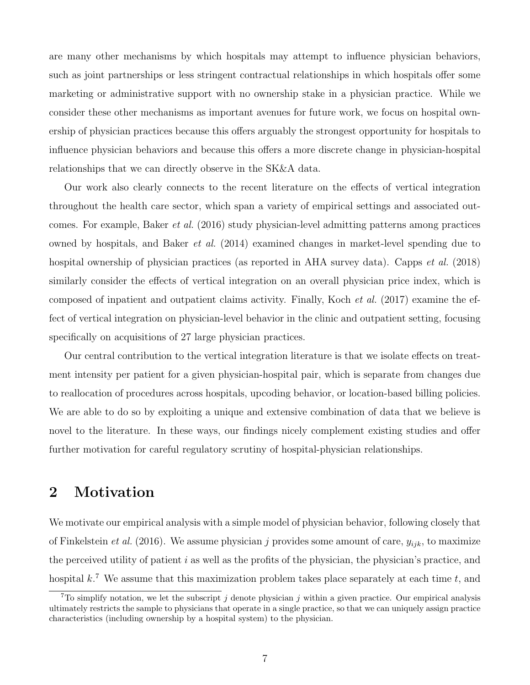are many other mechanisms by which hospitals may attempt to influence physician behaviors, such as joint partnerships or less stringent contractual relationships in which hospitals offer some marketing or administrative support with no ownership stake in a physician practice. While we consider these other mechanisms as important avenues for future work, we focus on hospital ownership of physician practices because this offers arguably the strongest opportunity for hospitals to influence physician behaviors and because this offers a more discrete change in physician-hospital relationships that we can directly observe in the SK&A data.

Our work also clearly connects to the recent literature on the effects of vertical integration throughout the health care sector, which span a variety of empirical settings and associated outcomes. For example, [Baker](#page-30-5) et al. [\(2016\)](#page-30-5) study physician-level admitting patterns among practices owned by hospitals, and [Baker](#page-30-1) et al. [\(2014\)](#page-30-1) examined changes in market-level spending due to hospital ownership of physician practices (as reported in AHA survey data). [Capps](#page-30-7) *et al.* [\(2018\)](#page-30-7) similarly consider the effects of vertical integration on an overall physician price index, which is composed of inpatient and outpatient claims activity. Finally, [Koch](#page-32-7) et al. [\(2017\)](#page-32-7) examine the effect of vertical integration on physician-level behavior in the clinic and outpatient setting, focusing specifically on acquisitions of 27 large physician practices.

Our central contribution to the vertical integration literature is that we isolate effects on treatment intensity per patient for a given physician-hospital pair, which is separate from changes due to reallocation of procedures across hospitals, upcoding behavior, or location-based billing policies. We are able to do so by exploiting a unique and extensive combination of data that we believe is novel to the literature. In these ways, our findings nicely complement existing studies and offer further motivation for careful regulatory scrutiny of hospital-physician relationships.

## <span id="page-6-0"></span>2 Motivation

We motivate our empirical analysis with a simple model of physician behavior, following closely that of [Finkelstein](#page-31-3) *et al.* [\(2016\)](#page-31-3). We assume physician j provides some amount of care,  $y_{ijk}$ , to maximize the perceived utility of patient  $i$  as well as the profits of the physician, the physician's practice, and hospital  $k^7$  $k^7$ . We assume that this maximization problem takes place separately at each time t, and

<span id="page-6-1"></span><sup>&</sup>lt;sup>7</sup>To simplify notation, we let the subscript j denote physician j within a given practice. Our empirical analysis ultimately restricts the sample to physicians that operate in a single practice, so that we can uniquely assign practice characteristics (including ownership by a hospital system) to the physician.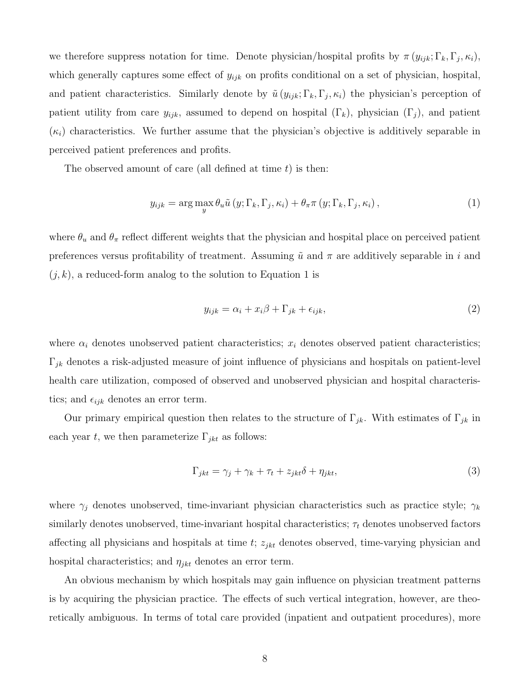we therefore suppress notation for time. Denote physician/hospital profits by  $\pi(y_{ijk};\Gamma_k,\Gamma_j,\kappa_i)$ , which generally captures some effect of  $y_{ijk}$  on profits conditional on a set of physician, hospital, and patient characteristics. Similarly denote by  $\tilde{u}(y_{ijk};\Gamma_k,\Gamma_j,\kappa_i)$  the physician's perception of patient utility from care  $y_{ijk}$ , assumed to depend on hospital  $(\Gamma_k)$ , physician  $(\Gamma_j)$ , and patient  $(\kappa_i)$  characteristics. We further assume that the physician's objective is additively separable in perceived patient preferences and profits.

The observed amount of care (all defined at time  $t$ ) is then:

<span id="page-7-0"></span>
$$
y_{ijk} = \arg\max_{y} \theta_u \tilde{u}(y; \Gamma_k, \Gamma_j, \kappa_i) + \theta_\pi \pi(y; \Gamma_k, \Gamma_j, \kappa_i), \qquad (1)
$$

where  $\theta_u$  and  $\theta_{\pi}$  reflect different weights that the physician and hospital place on perceived patient preferences versus profitability of treatment. Assuming  $\tilde{u}$  and  $\pi$  are additively separable in i and  $(j, k)$ , a reduced-form analog to the solution to Equation [1](#page-7-0) is

<span id="page-7-1"></span>
$$
y_{ijk} = \alpha_i + x_i \beta + \Gamma_{jk} + \epsilon_{ijk},\tag{2}
$$

where  $\alpha_i$  denotes unobserved patient characteristics;  $x_i$  denotes observed patient characteristics;  $\Gamma_{jk}$  denotes a risk-adjusted measure of joint influence of physicians and hospitals on patient-level health care utilization, composed of observed and unobserved physician and hospital characteristics; and  $\epsilon_{ijk}$  denotes an error term.

Our primary empirical question then relates to the structure of  $\Gamma_{jk}$ . With estimates of  $\Gamma_{jk}$  in each year t, we then parameterize  $\Gamma_{jkt}$  as follows:

<span id="page-7-2"></span>
$$
\Gamma_{jkt} = \gamma_j + \gamma_k + \tau_t + z_{jkt}\delta + \eta_{jkt},\tag{3}
$$

where  $\gamma_j$  denotes unobserved, time-invariant physician characteristics such as practice style;  $\gamma_k$ similarly denotes unobserved, time-invariant hospital characteristics;  $\tau_t$  denotes unobserved factors affecting all physicians and hospitals at time  $t$ ;  $z_{jkt}$  denotes observed, time-varying physician and hospital characteristics; and  $\eta_{jkt}$  denotes an error term.

An obvious mechanism by which hospitals may gain influence on physician treatment patterns is by acquiring the physician practice. The effects of such vertical integration, however, are theoretically ambiguous. In terms of total care provided (inpatient and outpatient procedures), more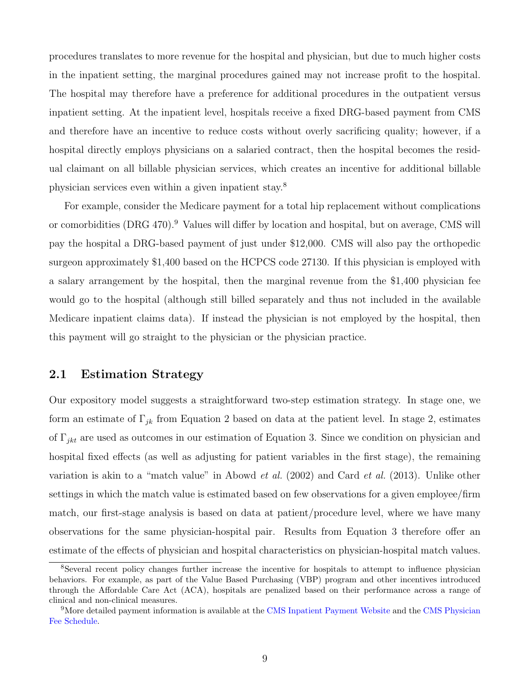procedures translates to more revenue for the hospital and physician, but due to much higher costs in the inpatient setting, the marginal procedures gained may not increase profit to the hospital. The hospital may therefore have a preference for additional procedures in the outpatient versus inpatient setting. At the inpatient level, hospitals receive a fixed DRG-based payment from CMS and therefore have an incentive to reduce costs without overly sacrificing quality; however, if a hospital directly employs physicians on a salaried contract, then the hospital becomes the residual claimant on all billable physician services, which creates an incentive for additional billable physician services even within a given inpatient stay.[8](#page-8-0)

For example, consider the Medicare payment for a total hip replacement without complications or comorbidities (DRG 470).<sup>[9](#page-8-1)</sup> Values will differ by location and hospital, but on average, CMS will pay the hospital a DRG-based payment of just under \$12,000. CMS will also pay the orthopedic surgeon approximately \$1,400 based on the HCPCS code 27130. If this physician is employed with a salary arrangement by the hospital, then the marginal revenue from the \$1,400 physician fee would go to the hospital (although still billed separately and thus not included in the available Medicare inpatient claims data). If instead the physician is not employed by the hospital, then this payment will go straight to the physician or the physician practice.

### 2.1 Estimation Strategy

Our expository model suggests a straightforward two-step estimation strategy. In stage one, we form an estimate of  $\Gamma_{jk}$  from Equation [2](#page-7-1) based on data at the patient level. In stage 2, estimates of  $\Gamma_{jkt}$  are used as outcomes in our estimation of Equation [3.](#page-7-2) Since we condition on physician and hospital fixed effects (as well as adjusting for patient variables in the first stage), the remaining variation is akin to a "match value" in [Abowd](#page-30-3) et al. [\(2002\)](#page-30-3) and Card [et al.](#page-30-4) [\(2013\)](#page-30-4). Unlike other settings in which the match value is estimated based on few observations for a given employee/firm match, our first-stage analysis is based on data at patient/procedure level, where we have many observations for the same physician-hospital pair. Results from Equation [3](#page-7-2) therefore offer an estimate of the effects of physician and hospital characteristics on physician-hospital match values.

<span id="page-8-0"></span><sup>8</sup>Several recent policy changes further increase the incentive for hospitals to attempt to influence physician behaviors. For example, as part of the Value Based Purchasing (VBP) program and other incentives introduced through the Affordable Care Act (ACA), hospitals are penalized based on their performance across a range of clinical and non-clinical measures.

<span id="page-8-1"></span><sup>&</sup>lt;sup>9</sup>More detailed payment information is available at the [CMS Inpatient Payment Website](https://data.cms.gov/Medicare-Inpatient/National-Summary-of-Inpatient-Charge-Data-by-Medic/us23-4mx2) and the [CMS Physician](https://www.cms.gov/Medicare/Medicare-Fee-for-Service-Payment/PFSlookup/index.html) [Fee Schedule.](https://www.cms.gov/Medicare/Medicare-Fee-for-Service-Payment/PFSlookup/index.html)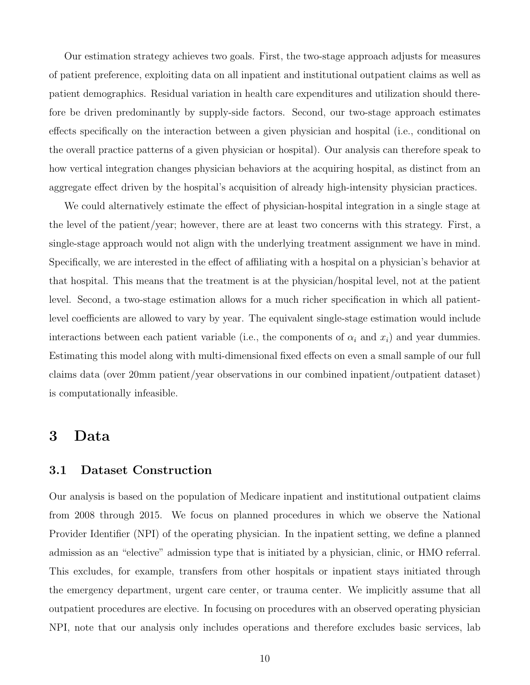Our estimation strategy achieves two goals. First, the two-stage approach adjusts for measures of patient preference, exploiting data on all inpatient and institutional outpatient claims as well as patient demographics. Residual variation in health care expenditures and utilization should therefore be driven predominantly by supply-side factors. Second, our two-stage approach estimates effects specifically on the interaction between a given physician and hospital (i.e., conditional on the overall practice patterns of a given physician or hospital). Our analysis can therefore speak to how vertical integration changes physician behaviors at the acquiring hospital, as distinct from an aggregate effect driven by the hospital's acquisition of already high-intensity physician practices.

We could alternatively estimate the effect of physician-hospital integration in a single stage at the level of the patient/year; however, there are at least two concerns with this strategy. First, a single-stage approach would not align with the underlying treatment assignment we have in mind. Specifically, we are interested in the effect of affiliating with a hospital on a physician's behavior at that hospital. This means that the treatment is at the physician/hospital level, not at the patient level. Second, a two-stage estimation allows for a much richer specification in which all patientlevel coefficients are allowed to vary by year. The equivalent single-stage estimation would include interactions between each patient variable (i.e., the components of  $\alpha_i$  and  $x_i$ ) and year dummies. Estimating this model along with multi-dimensional fixed effects on even a small sample of our full claims data (over 20mm patient/year observations in our combined inpatient/outpatient dataset) is computationally infeasible.

### <span id="page-9-0"></span>3 Data

#### 3.1 Dataset Construction

Our analysis is based on the population of Medicare inpatient and institutional outpatient claims from 2008 through 2015. We focus on planned procedures in which we observe the National Provider Identifier (NPI) of the operating physician. In the inpatient setting, we define a planned admission as an "elective" admission type that is initiated by a physician, clinic, or HMO referral. This excludes, for example, transfers from other hospitals or inpatient stays initiated through the emergency department, urgent care center, or trauma center. We implicitly assume that all outpatient procedures are elective. In focusing on procedures with an observed operating physician NPI, note that our analysis only includes operations and therefore excludes basic services, lab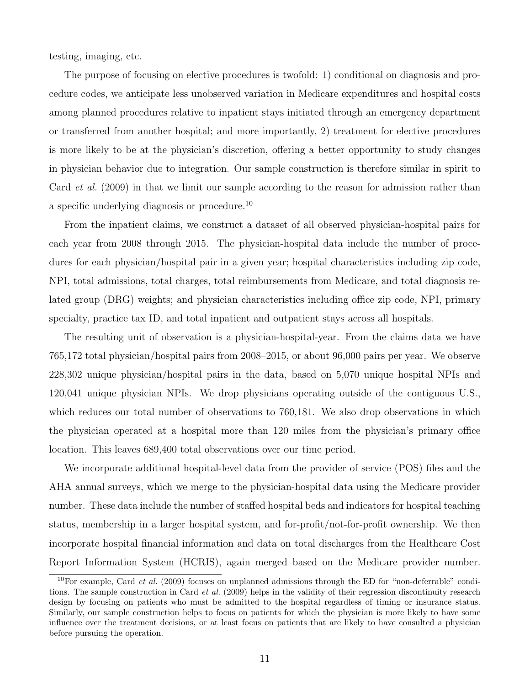testing, imaging, etc.

The purpose of focusing on elective procedures is twofold: 1) conditional on diagnosis and procedure codes, we anticipate less unobserved variation in Medicare expenditures and hospital costs among planned procedures relative to inpatient stays initiated through an emergency department or transferred from another hospital; and more importantly, 2) treatment for elective procedures is more likely to be at the physician's discretion, offering a better opportunity to study changes in physician behavior due to integration. Our sample construction is therefore similar in spirit to Card *[et al.](#page-30-8)* [\(2009\)](#page-30-8) in that we limit our sample according to the reason for admission rather than a specific underlying diagnosis or procedure.[10](#page-10-0)

From the inpatient claims, we construct a dataset of all observed physician-hospital pairs for each year from 2008 through 2015. The physician-hospital data include the number of procedures for each physician/hospital pair in a given year; hospital characteristics including zip code, NPI, total admissions, total charges, total reimbursements from Medicare, and total diagnosis related group (DRG) weights; and physician characteristics including office zip code, NPI, primary specialty, practice tax ID, and total inpatient and outpatient stays across all hospitals.

The resulting unit of observation is a physician-hospital-year. From the claims data we have 765,172 total physician/hospital pairs from 2008–2015, or about 96,000 pairs per year. We observe 228,302 unique physician/hospital pairs in the data, based on 5,070 unique hospital NPIs and 120,041 unique physician NPIs. We drop physicians operating outside of the contiguous U.S., which reduces our total number of observations to 760,181. We also drop observations in which the physician operated at a hospital more than 120 miles from the physician's primary office location. This leaves 689,400 total observations over our time period.

We incorporate additional hospital-level data from the provider of service (POS) files and the AHA annual surveys, which we merge to the physician-hospital data using the Medicare provider number. These data include the number of staffed hospital beds and indicators for hospital teaching status, membership in a larger hospital system, and for-profit/not-for-profit ownership. We then incorporate hospital financial information and data on total discharges from the Healthcare Cost Report Information System (HCRIS), again merged based on the Medicare provider number.

<span id="page-10-0"></span> $10$ For example, Card *[et al.](#page-30-8)* [\(2009\)](#page-30-8) focuses on unplanned admissions through the ED for "non-deferrable" conditions. The sample construction in Card *[et al.](#page-30-8)* [\(2009\)](#page-30-8) helps in the validity of their regression discontinuity research design by focusing on patients who must be admitted to the hospital regardless of timing or insurance status. Similarly, our sample construction helps to focus on patients for which the physician is more likely to have some influence over the treatment decisions, or at least focus on patients that are likely to have consulted a physician before pursuing the operation.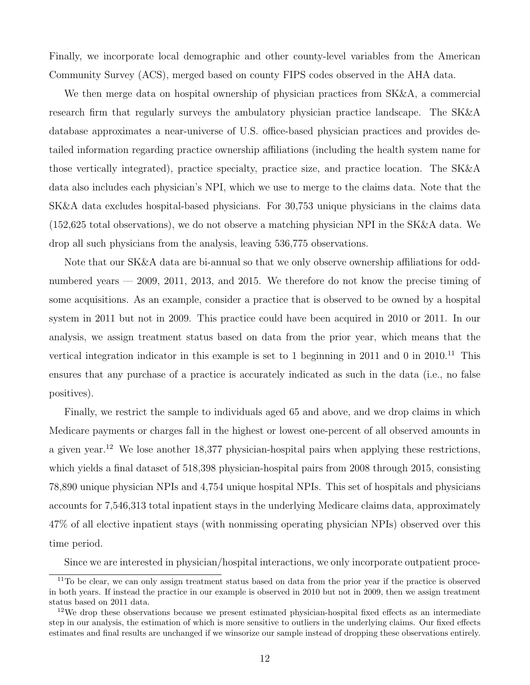Finally, we incorporate local demographic and other county-level variables from the American Community Survey (ACS), merged based on county FIPS codes observed in the AHA data.

We then merge data on hospital ownership of physician practices from SK&A, a commercial research firm that regularly surveys the ambulatory physician practice landscape. The SK&A database approximates a near-universe of U.S. office-based physician practices and provides detailed information regarding practice ownership affiliations (including the health system name for those vertically integrated), practice specialty, practice size, and practice location. The SK&A data also includes each physician's NPI, which we use to merge to the claims data. Note that the SK&A data excludes hospital-based physicians. For 30,753 unique physicians in the claims data (152,625 total observations), we do not observe a matching physician NPI in the SK&A data. We drop all such physicians from the analysis, leaving 536,775 observations.

Note that our SK&A data are bi-annual so that we only observe ownership affiliations for oddnumbered years — 2009, 2011, 2013, and 2015. We therefore do not know the precise timing of some acquisitions. As an example, consider a practice that is observed to be owned by a hospital system in 2011 but not in 2009. This practice could have been acquired in 2010 or 2011. In our analysis, we assign treatment status based on data from the prior year, which means that the vertical integration indicator in this example is set to 1 beginning in 20[11](#page-11-0) and 0 in  $2010^{11}$  This ensures that any purchase of a practice is accurately indicated as such in the data (i.e., no false positives).

Finally, we restrict the sample to individuals aged 65 and above, and we drop claims in which Medicare payments or charges fall in the highest or lowest one-percent of all observed amounts in a given year.<sup>[12](#page-11-1)</sup> We lose another 18,377 physician-hospital pairs when applying these restrictions, which yields a final dataset of 518,398 physician-hospital pairs from 2008 through 2015, consisting 78,890 unique physician NPIs and 4,754 unique hospital NPIs. This set of hospitals and physicians accounts for 7,546,313 total inpatient stays in the underlying Medicare claims data, approximately 47% of all elective inpatient stays (with nonmissing operating physician NPIs) observed over this time period.

<span id="page-11-0"></span>Since we are interested in physician/hospital interactions, we only incorporate outpatient proce-

<sup>&</sup>lt;sup>11</sup>To be clear, we can only assign treatment status based on data from the prior year if the practice is observed in both years. If instead the practice in our example is observed in 2010 but not in 2009, then we assign treatment status based on 2011 data.

<span id="page-11-1"></span><sup>&</sup>lt;sup>12</sup>We drop these observations because we present estimated physician-hospital fixed effects as an intermediate step in our analysis, the estimation of which is more sensitive to outliers in the underlying claims. Our fixed effects estimates and final results are unchanged if we winsorize our sample instead of dropping these observations entirely.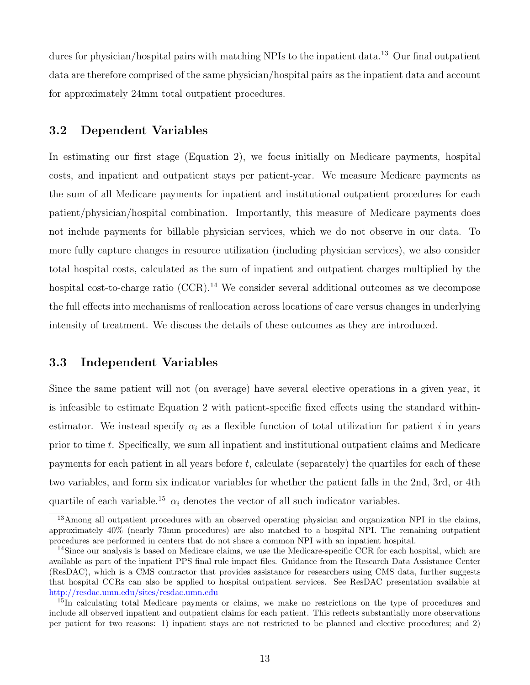dures for physician/hospital pairs with matching NPIs to the inpatient data.<sup>[13](#page-12-0)</sup> Our final outpatient data are therefore comprised of the same physician/hospital pairs as the inpatient data and account for approximately 24mm total outpatient procedures.

### 3.2 Dependent Variables

In estimating our first stage (Equation [2\)](#page-7-1), we focus initially on Medicare payments, hospital costs, and inpatient and outpatient stays per patient-year. We measure Medicare payments as the sum of all Medicare payments for inpatient and institutional outpatient procedures for each patient/physician/hospital combination. Importantly, this measure of Medicare payments does not include payments for billable physician services, which we do not observe in our data. To more fully capture changes in resource utilization (including physician services), we also consider total hospital costs, calculated as the sum of inpatient and outpatient charges multiplied by the hospital cost-to-charge ratio  $(CCR)$ .<sup>[14](#page-12-1)</sup> We consider several additional outcomes as we decompose the full effects into mechanisms of reallocation across locations of care versus changes in underlying intensity of treatment. We discuss the details of these outcomes as they are introduced.

### 3.3 Independent Variables

Since the same patient will not (on average) have several elective operations in a given year, it is infeasible to estimate Equation [2](#page-7-1) with patient-specific fixed effects using the standard withinestimator. We instead specify  $\alpha_i$  as a flexible function of total utilization for patient i in years prior to time t. Specifically, we sum all inpatient and institutional outpatient claims and Medicare payments for each patient in all years before  $t$ , calculate (separately) the quartiles for each of these two variables, and form six indicator variables for whether the patient falls in the 2nd, 3rd, or 4th quartile of each variable.<sup>[15](#page-12-2)</sup>  $\alpha_i$  denotes the vector of all such indicator variables.

<span id="page-12-0"></span><sup>&</sup>lt;sup>13</sup>Among all outpatient procedures with an observed operating physician and organization NPI in the claims, approximately 40% (nearly 73mm procedures) are also matched to a hospital NPI. The remaining outpatient procedures are performed in centers that do not share a common NPI with an inpatient hospital.

<span id="page-12-1"></span><sup>&</sup>lt;sup>14</sup>Since our analysis is based on Medicare claims, we use the Medicare-specific CCR for each hospital, which are available as part of the inpatient PPS final rule impact files. Guidance from the Research Data Assistance Center (ResDAC), which is a CMS contractor that provides assistance for researchers using CMS data, further suggests that hospital CCRs can also be applied to hospital outpatient services. See ResDAC presentation available at [http://resdac.umn.edu/sites/resdac.umn.edu](http://resdac.umn.edu/sites/resdac.umn.edu/files/Calculating%20Cost%20-%20Cost-to-Charge%20Ratios%20(Slides).pdf)

<span id="page-12-2"></span><sup>&</sup>lt;sup>15</sup>In calculating total Medicare payments or claims, we make no restrictions on the type of procedures and include all observed inpatient and outpatient claims for each patient. This reflects substantially more observations per patient for two reasons: 1) inpatient stays are not restricted to be planned and elective procedures; and 2)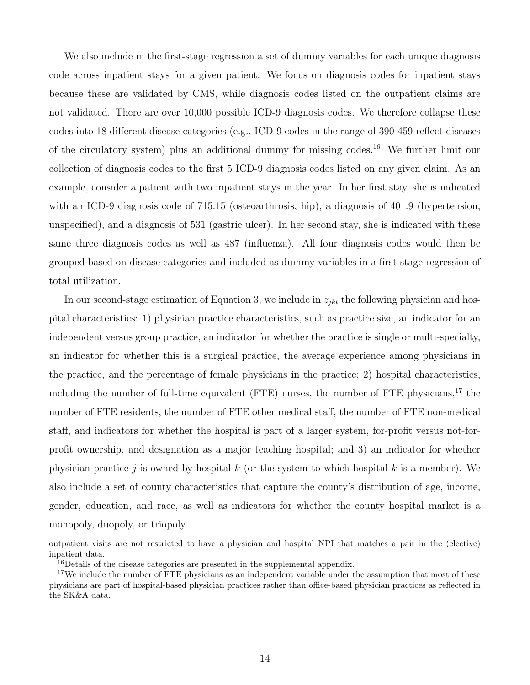We also include in the first-stage regression a set of dummy variables for each unique diagnosis code across inpatient stays for a given patient. We focus on diagnosis codes for inpatient stays because these are validated by CMS, while diagnosis codes listed on the outpatient claims are not validated. There are over 10,000 possible ICD-9 diagnosis codes. We therefore collapse these codes into 18 different disease categories (e.g., ICD-9 codes in the range of 390-459 reflect diseases of the circulatory system) plus an additional dummy for missing codes.<sup>[16](#page-13-0)</sup> We further limit our collection of diagnosis codes to the first 5 ICD-9 diagnosis codes listed on any given claim. As an example, consider a patient with two inpatient stays in the year. In her first stay, she is indicated with an ICD-9 diagnosis code of 715.15 (osteoarthrosis, hip), a diagnosis of 401.9 (hypertension, unspecified), and a diagnosis of 531 (gastric ulcer). In her second stay, she is indicated with these same three diagnosis codes as well as 487 (influenza). All four diagnosis codes would then be grouped based on disease categories and included as dummy variables in a first-stage regression of total utilization.

In our second-stage estimation of Equation [3,](#page-7-2) we include in  $z_{jkt}$  the following physician and hospital characteristics: 1) physician practice characteristics, such as practice size, an indicator for an independent versus group practice, an indicator for whether the practice is single or multi-specialty, an indicator for whether this is a surgical practice, the average experience among physicians in the practice, and the percentage of female physicians in the practice; 2) hospital characteristics, including the number of full-time equivalent (FTE) nurses, the number of FTE physicians,<sup>[17](#page-13-1)</sup> the number of FTE residents, the number of FTE other medical staff, the number of FTE non-medical staff, and indicators for whether the hospital is part of a larger system, for-profit versus not-forprofit ownership, and designation as a major teaching hospital; and 3) an indicator for whether physician practice j is owned by hospital k (or the system to which hospital k is a member). We also include a set of county characteristics that capture the county's distribution of age, income, gender, education, and race, as well as indicators for whether the county hospital market is a monopoly, duopoly, or triopoly.

outpatient visits are not restricted to have a physician and hospital NPI that matches a pair in the (elective) inpatient data.

<span id="page-13-1"></span><span id="page-13-0"></span><sup>&</sup>lt;sup>16</sup>Details of the disease categories are presented in the supplemental appendix.

<sup>&</sup>lt;sup>17</sup>We include the number of FTE physicians as an independent variable under the assumption that most of these physicians are part of hospital-based physician practices rather than office-based physician practices as reflected in the SK&A data.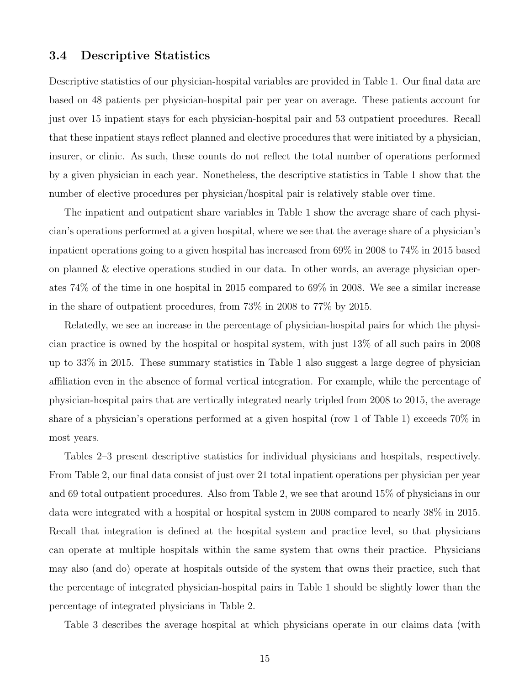#### 3.4 Descriptive Statistics

Descriptive statistics of our physician-hospital variables are provided in Table [1.](#page-37-0) Our final data are based on 48 patients per physician-hospital pair per year on average. These patients account for just over 15 inpatient stays for each physician-hospital pair and 53 outpatient procedures. Recall that these inpatient stays reflect planned and elective procedures that were initiated by a physician, insurer, or clinic. As such, these counts do not reflect the total number of operations performed by a given physician in each year. Nonetheless, the descriptive statistics in Table [1](#page-37-0) show that the number of elective procedures per physician/hospital pair is relatively stable over time.

The inpatient and outpatient share variables in Table [1](#page-37-0) show the average share of each physician's operations performed at a given hospital, where we see that the average share of a physician's inpatient operations going to a given hospital has increased from 69% in 2008 to 74% in 2015 based on planned & elective operations studied in our data. In other words, an average physician operates 74% of the time in one hospital in 2015 compared to 69% in 2008. We see a similar increase in the share of outpatient procedures, from 73% in 2008 to 77% by 2015.

Relatedly, we see an increase in the percentage of physician-hospital pairs for which the physician practice is owned by the hospital or hospital system, with just 13% of all such pairs in 2008 up to 33% in 2015. These summary statistics in Table [1](#page-37-0) also suggest a large degree of physician affiliation even in the absence of formal vertical integration. For example, while the percentage of physician-hospital pairs that are vertically integrated nearly tripled from 2008 to 2015, the average share of a physician's operations performed at a given hospital (row 1 of Table [1\)](#page-37-0) exceeds 70% in most years.

Tables [2–](#page-38-0)[3](#page-39-0) present descriptive statistics for individual physicians and hospitals, respectively. From Table [2,](#page-38-0) our final data consist of just over 21 total inpatient operations per physician per year and 69 total outpatient procedures. Also from Table [2,](#page-38-0) we see that around 15% of physicians in our data were integrated with a hospital or hospital system in 2008 compared to nearly 38% in 2015. Recall that integration is defined at the hospital system and practice level, so that physicians can operate at multiple hospitals within the same system that owns their practice. Physicians may also (and do) operate at hospitals outside of the system that owns their practice, such that the percentage of integrated physician-hospital pairs in Table [1](#page-37-0) should be slightly lower than the percentage of integrated physicians in Table [2.](#page-38-0)

Table [3](#page-39-0) describes the average hospital at which physicians operate in our claims data (with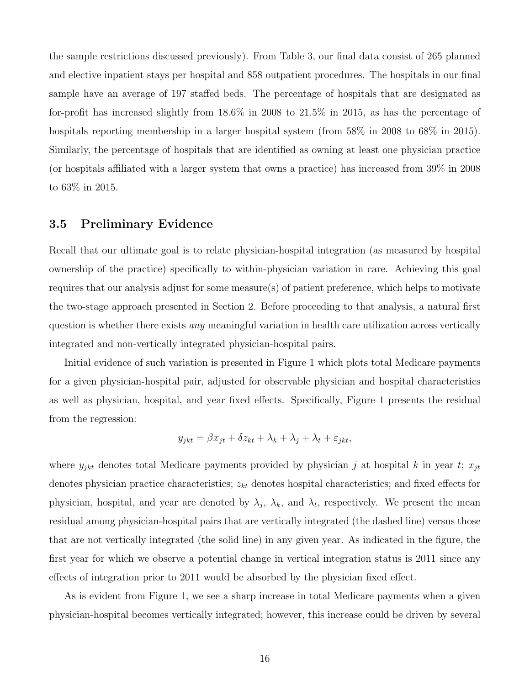the sample restrictions discussed previously). From Table [3,](#page-39-0) our final data consist of 265 planned and elective inpatient stays per hospital and 858 outpatient procedures. The hospitals in our final sample have an average of 197 staffed beds. The percentage of hospitals that are designated as for-profit has increased slightly from 18.6% in 2008 to 21.5% in 2015, as has the percentage of hospitals reporting membership in a larger hospital system (from 58% in 2008 to 68% in 2015). Similarly, the percentage of hospitals that are identified as owning at least one physician practice (or hospitals affiliated with a larger system that owns a practice) has increased from 39% in 2008 to 63% in 2015.

#### 3.5 Preliminary Evidence

Recall that our ultimate goal is to relate physician-hospital integration (as measured by hospital ownership of the practice) specifically to within-physician variation in care. Achieving this goal requires that our analysis adjust for some measure(s) of patient preference, which helps to motivate the two-stage approach presented in Section [2.](#page-6-0) Before proceeding to that analysis, a natural first question is whether there exists any meaningful variation in health care utilization across vertically integrated and non-vertically integrated physician-hospital pairs.

Initial evidence of such variation is presented in Figure [1](#page-33-0) which plots total Medicare payments for a given physician-hospital pair, adjusted for observable physician and hospital characteristics as well as physician, hospital, and year fixed effects. Specifically, Figure [1](#page-33-0) presents the residual from the regression:

$$
y_{jkt} = \beta x_{jt} + \delta z_{kt} + \lambda_k + \lambda_j + \lambda_t + \varepsilon_{jkt},
$$

where  $y_{jkt}$  denotes total Medicare payments provided by physician j at hospital k in year t;  $x_{jt}$ denotes physician practice characteristics;  $z_{kt}$  denotes hospital characteristics; and fixed effects for physician, hospital, and year are denoted by  $\lambda_j$ ,  $\lambda_k$ , and  $\lambda_t$ , respectively. We present the mean residual among physician-hospital pairs that are vertically integrated (the dashed line) versus those that are not vertically integrated (the solid line) in any given year. As indicated in the figure, the first year for which we observe a potential change in vertical integration status is 2011 since any effects of integration prior to 2011 would be absorbed by the physician fixed effect.

As is evident from Figure [1,](#page-33-0) we see a sharp increase in total Medicare payments when a given physician-hospital becomes vertically integrated; however, this increase could be driven by several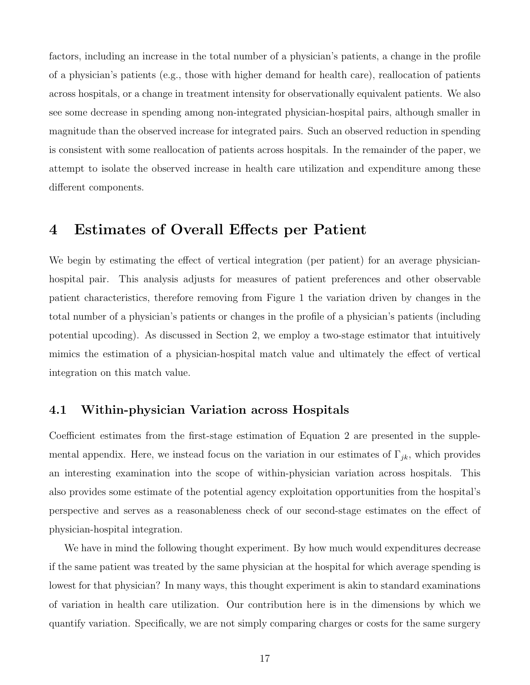factors, including an increase in the total number of a physician's patients, a change in the profile of a physician's patients (e.g., those with higher demand for health care), reallocation of patients across hospitals, or a change in treatment intensity for observationally equivalent patients. We also see some decrease in spending among non-integrated physician-hospital pairs, although smaller in magnitude than the observed increase for integrated pairs. Such an observed reduction in spending is consistent with some reallocation of patients across hospitals. In the remainder of the paper, we attempt to isolate the observed increase in health care utilization and expenditure among these different components.

### 4 Estimates of Overall Effects per Patient

We begin by estimating the effect of vertical integration (per patient) for an average physicianhospital pair. This analysis adjusts for measures of patient preferences and other observable patient characteristics, therefore removing from Figure [1](#page-33-0) the variation driven by changes in the total number of a physician's patients or changes in the profile of a physician's patients (including potential upcoding). As discussed in Section [2,](#page-6-0) we employ a two-stage estimator that intuitively mimics the estimation of a physician-hospital match value and ultimately the effect of vertical integration on this match value.

### 4.1 Within-physician Variation across Hospitals

Coefficient estimates from the first-stage estimation of Equation [2](#page-7-1) are presented in the supplemental appendix. Here, we instead focus on the variation in our estimates of  $\Gamma_{jk}$ , which provides an interesting examination into the scope of within-physician variation across hospitals. This also provides some estimate of the potential agency exploitation opportunities from the hospital's perspective and serves as a reasonableness check of our second-stage estimates on the effect of physician-hospital integration.

We have in mind the following thought experiment. By how much would expenditures decrease if the same patient was treated by the same physician at the hospital for which average spending is lowest for that physician? In many ways, this thought experiment is akin to standard examinations of variation in health care utilization. Our contribution here is in the dimensions by which we quantify variation. Specifically, we are not simply comparing charges or costs for the same surgery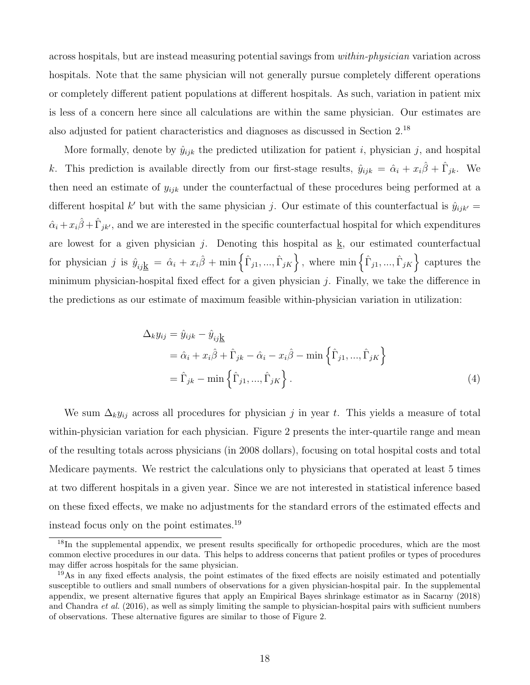across hospitals, but are instead measuring potential savings from within-physician variation across hospitals. Note that the same physician will not generally pursue completely different operations or completely different patient populations at different hospitals. As such, variation in patient mix is less of a concern here since all calculations are within the same physician. Our estimates are also adjusted for patient characteristics and diagnoses as discussed in Section [2.](#page-6-0) [18](#page-17-0)

More formally, denote by  $\hat{y}_{ijk}$  the predicted utilization for patient i, physician j, and hospital k. This prediction is available directly from our first-stage results,  $\hat{y}_{ijk} = \hat{\alpha}_i + x_i \hat{\beta} + \hat{\Gamma}_{jk}$ . We then need an estimate of  $y_{ijk}$  under the counterfactual of these procedures being performed at a different hospital k' but with the same physician j. Our estimate of this counterfactual is  $\hat{y}_{ijk'} =$  $\hat{\alpha}_i + x_i\hat{\beta} + \hat{\Gamma}_{jk'}$ , and we are interested in the specific counterfactual hospital for which expenditures are lowest for a given physician  $j$ . Denoting this hospital as k, our estimated counterfactual  $\text{for physician } j \text{ is } \hat{y}_{ij\underline{k}} \ = \ \hat{\alpha}_i + x_i\hat{\beta} + \min\left\{\hat{\Gamma}_{j1},...,\hat{\Gamma}_{jK}\right\}, \text{ where } \min\left\{\hat{\Gamma}_{j1},...,\hat{\Gamma}_{jK}\right\} \text{ captures the } \hat{\beta}$ minimum physician-hospital fixed effect for a given physician  $j$ . Finally, we take the difference in the predictions as our estimate of maximum feasible within-physician variation in utilization:

$$
\Delta_k y_{ij} = \hat{y}_{ijk} - \hat{y}_{ij\underline{k}}
$$
  
=  $\hat{\alpha}_i + x_i \hat{\beta} + \hat{\Gamma}_{jk} - \hat{\alpha}_i - x_i \hat{\beta} - \min \left\{ \hat{\Gamma}_{j1}, \dots, \hat{\Gamma}_{jK} \right\}$   
=  $\hat{\Gamma}_{jk} - \min \left\{ \hat{\Gamma}_{j1}, \dots, \hat{\Gamma}_{jK} \right\}.$  (4)

We sum  $\Delta_k y_{ij}$  across all procedures for physician j in year t. This yields a measure of total within-physician variation for each physician. Figure [2](#page-34-0) presents the inter-quartile range and mean of the resulting totals across physicians (in 2008 dollars), focusing on total hospital costs and total Medicare payments. We restrict the calculations only to physicians that operated at least 5 times at two different hospitals in a given year. Since we are not interested in statistical inference based on these fixed effects, we make no adjustments for the standard errors of the estimated effects and instead focus only on the point estimates.[19](#page-17-1)

<span id="page-17-0"></span><sup>&</sup>lt;sup>18</sup>In the supplemental appendix, we present results specifically for orthopedic procedures, which are the most common elective procedures in our data. This helps to address concerns that patient profiles or types of procedures may differ across hospitals for the same physician.

<span id="page-17-1"></span> $19\text{As}$  in any fixed effects analysis, the point estimates of the fixed effects are noisily estimated and potentially susceptible to outliers and small numbers of observations for a given physician-hospital pair. In the supplemental appendix, we present alternative figures that apply an Empirical Bayes shrinkage estimator as in [Sacarny](#page-32-6) [\(2018\)](#page-32-6) and [Chandra](#page-30-9) *et al.* [\(2016\)](#page-30-9), as well as simply limiting the sample to physician-hospital pairs with sufficient numbers of observations. These alternative figures are similar to those of Figure [2.](#page-34-0)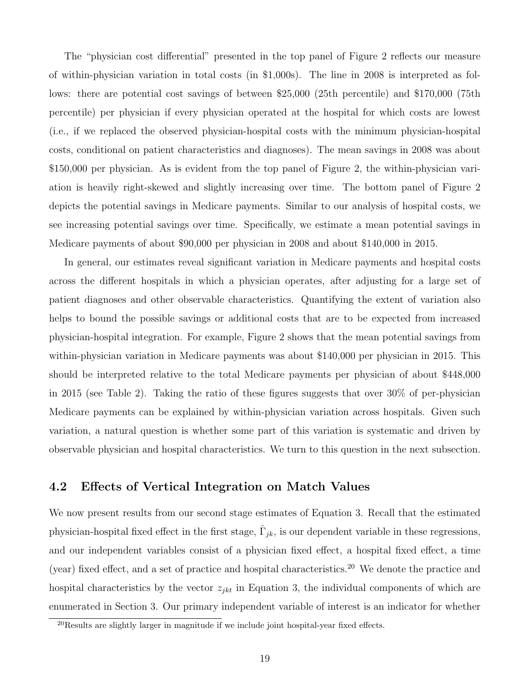The "physician cost differential" presented in the top panel of Figure [2](#page-34-0) reflects our measure of within-physician variation in total costs (in \$1,000s). The line in 2008 is interpreted as follows: there are potential cost savings of between \$25,000 (25th percentile) and \$170,000 (75th percentile) per physician if every physician operated at the hospital for which costs are lowest (i.e., if we replaced the observed physician-hospital costs with the minimum physician-hospital costs, conditional on patient characteristics and diagnoses). The mean savings in 2008 was about \$150,000 per physician. As is evident from the top panel of Figure [2,](#page-34-0) the within-physician variation is heavily right-skewed and slightly increasing over time. The bottom panel of Figure [2](#page-34-0) depicts the potential savings in Medicare payments. Similar to our analysis of hospital costs, we see increasing potential savings over time. Specifically, we estimate a mean potential savings in Medicare payments of about \$90,000 per physician in 2008 and about \$140,000 in 2015.

In general, our estimates reveal significant variation in Medicare payments and hospital costs across the different hospitals in which a physician operates, after adjusting for a large set of patient diagnoses and other observable characteristics. Quantifying the extent of variation also helps to bound the possible savings or additional costs that are to be expected from increased physician-hospital integration. For example, Figure [2](#page-34-0) shows that the mean potential savings from within-physician variation in Medicare payments was about \$140,000 per physician in 2015. This should be interpreted relative to the total Medicare payments per physician of about \$448,000 in 2015 (see Table [2\)](#page-38-0). Taking the ratio of these figures suggests that over 30% of per-physician Medicare payments can be explained by within-physician variation across hospitals. Given such variation, a natural question is whether some part of this variation is systematic and driven by observable physician and hospital characteristics. We turn to this question in the next subsection.

### <span id="page-18-1"></span>4.2 Effects of Vertical Integration on Match Values

We now present results from our second stage estimates of Equation [3.](#page-7-2) Recall that the estimated physician-hospital fixed effect in the first stage,  $\hat{\Gamma}_{jk}$ , is our dependent variable in these regressions, and our independent variables consist of a physician fixed effect, a hospital fixed effect, a time (year) fixed effect, and a set of practice and hospital characteristics.<sup>[20](#page-18-0)</sup> We denote the practice and hospital characteristics by the vector  $z_{jkt}$  in Equation [3,](#page-7-2) the individual components of which are enumerated in Section [3.](#page-9-0) Our primary independent variable of interest is an indicator for whether

<span id="page-18-0"></span><sup>20</sup>Results are slightly larger in magnitude if we include joint hospital-year fixed effects.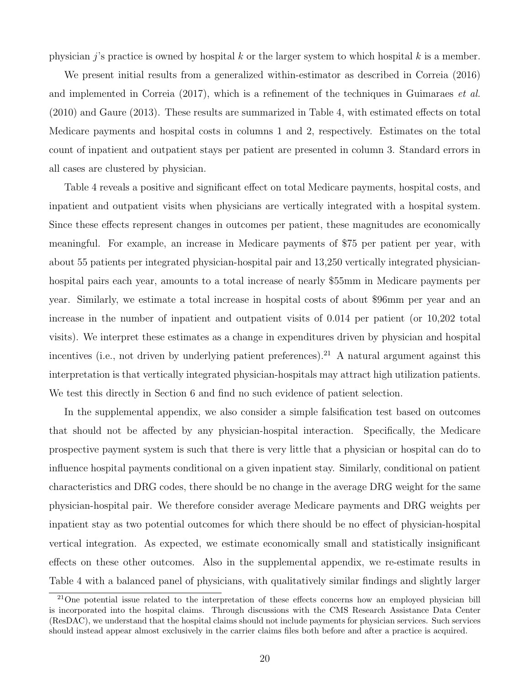physician j's practice is owned by hospital k or the larger system to which hospital k is a member.

We present initial results from a generalized within-estimator as described in [Correia](#page-31-5) [\(2016\)](#page-31-5) and implemented in [Correia](#page-31-6) [\(2017\)](#page-31-6), which is a refinement of the techniques in [Guimaraes](#page-32-10) et al. [\(2010\)](#page-32-10) and [Gaure](#page-31-7) [\(2013\)](#page-31-7). These results are summarized in Table [4,](#page-40-0) with estimated effects on total Medicare payments and hospital costs in columns 1 and 2, respectively. Estimates on the total count of inpatient and outpatient stays per patient are presented in column 3. Standard errors in all cases are clustered by physician.

Table [4](#page-40-0) reveals a positive and significant effect on total Medicare payments, hospital costs, and inpatient and outpatient visits when physicians are vertically integrated with a hospital system. Since these effects represent changes in outcomes per patient, these magnitudes are economically meaningful. For example, an increase in Medicare payments of \$75 per patient per year, with about 55 patients per integrated physician-hospital pair and 13,250 vertically integrated physicianhospital pairs each year, amounts to a total increase of nearly \$55mm in Medicare payments per year. Similarly, we estimate a total increase in hospital costs of about \$96mm per year and an increase in the number of inpatient and outpatient visits of 0.014 per patient (or 10,202 total visits). We interpret these estimates as a change in expenditures driven by physician and hospital incentives (i.e., not driven by underlying patient preferences).<sup>[21](#page-19-0)</sup> A natural argument against this interpretation is that vertically integrated physician-hospitals may attract high utilization patients. We test this directly in Section [6](#page-26-0) and find no such evidence of patient selection.

In the supplemental appendix, we also consider a simple falsification test based on outcomes that should not be affected by any physician-hospital interaction. Specifically, the Medicare prospective payment system is such that there is very little that a physician or hospital can do to influence hospital payments conditional on a given inpatient stay. Similarly, conditional on patient characteristics and DRG codes, there should be no change in the average DRG weight for the same physician-hospital pair. We therefore consider average Medicare payments and DRG weights per inpatient stay as two potential outcomes for which there should be no effect of physician-hospital vertical integration. As expected, we estimate economically small and statistically insignificant effects on these other outcomes. Also in the supplemental appendix, we re-estimate results in Table [4](#page-40-0) with a balanced panel of physicians, with qualitatively similar findings and slightly larger

<span id="page-19-0"></span><sup>21</sup>One potential issue related to the interpretation of these effects concerns how an employed physician bill is incorporated into the hospital claims. Through discussions with the CMS Research Assistance Data Center (ResDAC), we understand that the hospital claims should not include payments for physician services. Such services should instead appear almost exclusively in the carrier claims files both before and after a practice is acquired.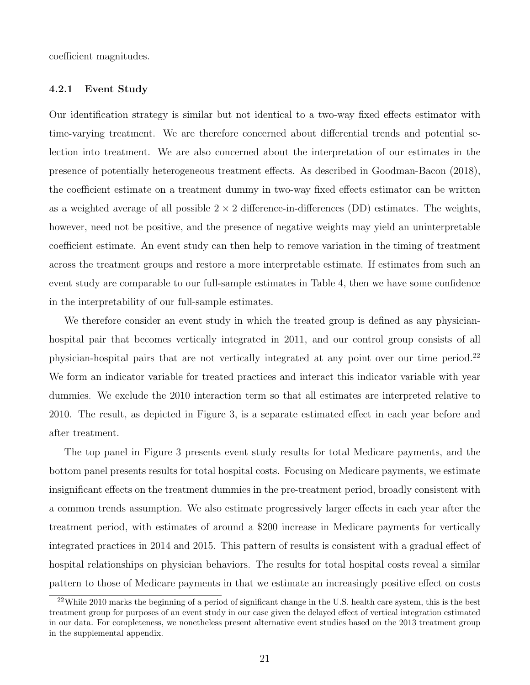coefficient magnitudes.

#### <span id="page-20-1"></span>4.2.1 Event Study

Our identification strategy is similar but not identical to a two-way fixed effects estimator with time-varying treatment. We are therefore concerned about differential trends and potential selection into treatment. We are also concerned about the interpretation of our estimates in the presence of potentially heterogeneous treatment effects. As described in [Goodman-Bacon](#page-31-8) [\(2018\)](#page-31-8), the coefficient estimate on a treatment dummy in two-way fixed effects estimator can be written as a weighted average of all possible  $2 \times 2$  difference-in-differences (DD) estimates. The weights, however, need not be positive, and the presence of negative weights may yield an uninterpretable coefficient estimate. An event study can then help to remove variation in the timing of treatment across the treatment groups and restore a more interpretable estimate. If estimates from such an event study are comparable to our full-sample estimates in Table [4,](#page-40-0) then we have some confidence in the interpretability of our full-sample estimates.

We therefore consider an event study in which the treated group is defined as any physicianhospital pair that becomes vertically integrated in 2011, and our control group consists of all physician-hospital pairs that are not vertically integrated at any point over our time period.<sup>[22](#page-20-0)</sup> We form an indicator variable for treated practices and interact this indicator variable with year dummies. We exclude the 2010 interaction term so that all estimates are interpreted relative to 2010. The result, as depicted in Figure [3,](#page-35-0) is a separate estimated effect in each year before and after treatment.

The top panel in Figure [3](#page-35-0) presents event study results for total Medicare payments, and the bottom panel presents results for total hospital costs. Focusing on Medicare payments, we estimate insignificant effects on the treatment dummies in the pre-treatment period, broadly consistent with a common trends assumption. We also estimate progressively larger effects in each year after the treatment period, with estimates of around a \$200 increase in Medicare payments for vertically integrated practices in 2014 and 2015. This pattern of results is consistent with a gradual effect of hospital relationships on physician behaviors. The results for total hospital costs reveal a similar pattern to those of Medicare payments in that we estimate an increasingly positive effect on costs

<span id="page-20-0"></span><sup>&</sup>lt;sup>22</sup>While 2010 marks the beginning of a period of significant change in the U.S. health care system, this is the best treatment group for purposes of an event study in our case given the delayed effect of vertical integration estimated in our data. For completeness, we nonetheless present alternative event studies based on the 2013 treatment group in the supplemental appendix.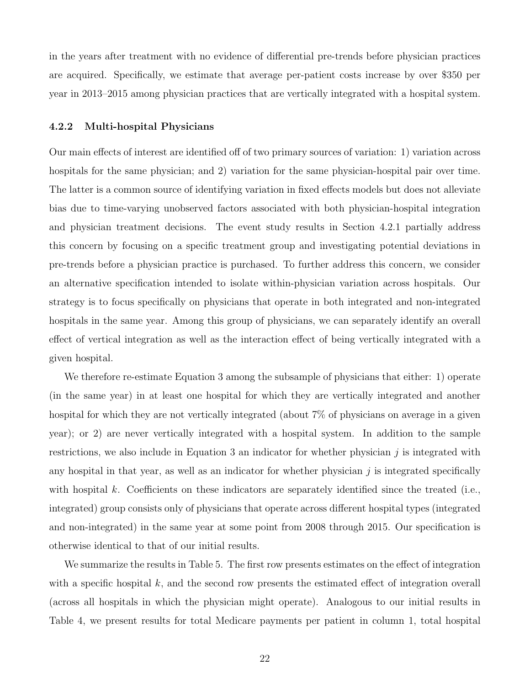in the years after treatment with no evidence of differential pre-trends before physician practices are acquired. Specifically, we estimate that average per-patient costs increase by over \$350 per year in 2013–2015 among physician practices that are vertically integrated with a hospital system.

#### <span id="page-21-0"></span>4.2.2 Multi-hospital Physicians

Our main effects of interest are identified off of two primary sources of variation: 1) variation across hospitals for the same physician; and 2) variation for the same physician-hospital pair over time. The latter is a common source of identifying variation in fixed effects models but does not alleviate bias due to time-varying unobserved factors associated with both physician-hospital integration and physician treatment decisions. The event study results in Section [4.2.1](#page-20-1) partially address this concern by focusing on a specific treatment group and investigating potential deviations in pre-trends before a physician practice is purchased. To further address this concern, we consider an alternative specification intended to isolate within-physician variation across hospitals. Our strategy is to focus specifically on physicians that operate in both integrated and non-integrated hospitals in the same year. Among this group of physicians, we can separately identify an overall effect of vertical integration as well as the interaction effect of being vertically integrated with a given hospital.

We therefore re-estimate Equation [3](#page-7-2) among the subsample of physicians that either: 1) operate (in the same year) in at least one hospital for which they are vertically integrated and another hospital for which they are not vertically integrated (about 7% of physicians on average in a given year); or 2) are never vertically integrated with a hospital system. In addition to the sample restrictions, we also include in Equation [3](#page-7-2) an indicator for whether physician  $j$  is integrated with any hospital in that year, as well as an indicator for whether physician  $j$  is integrated specifically with hospital k. Coefficients on these indicators are separately identified since the treated (i.e., integrated) group consists only of physicians that operate across different hospital types (integrated and non-integrated) in the same year at some point from 2008 through 2015. Our specification is otherwise identical to that of our initial results.

We summarize the results in Table [5.](#page-41-0) The first row presents estimates on the effect of integration with a specific hospital  $k$ , and the second row presents the estimated effect of integration overall (across all hospitals in which the physician might operate). Analogous to our initial results in Table [4,](#page-40-0) we present results for total Medicare payments per patient in column 1, total hospital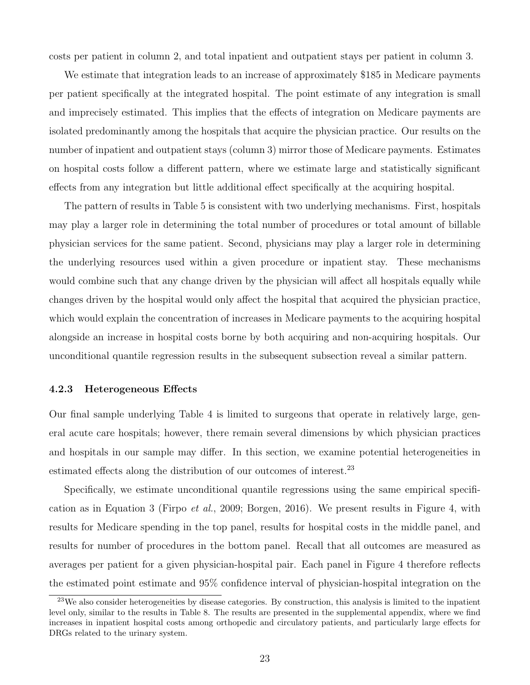costs per patient in column 2, and total inpatient and outpatient stays per patient in column 3.

We estimate that integration leads to an increase of approximately \$185 in Medicare payments per patient specifically at the integrated hospital. The point estimate of any integration is small and imprecisely estimated. This implies that the effects of integration on Medicare payments are isolated predominantly among the hospitals that acquire the physician practice. Our results on the number of inpatient and outpatient stays (column 3) mirror those of Medicare payments. Estimates on hospital costs follow a different pattern, where we estimate large and statistically significant effects from any integration but little additional effect specifically at the acquiring hospital.

The pattern of results in Table [5](#page-41-0) is consistent with two underlying mechanisms. First, hospitals may play a larger role in determining the total number of procedures or total amount of billable physician services for the same patient. Second, physicians may play a larger role in determining the underlying resources used within a given procedure or inpatient stay. These mechanisms would combine such that any change driven by the physician will affect all hospitals equally while changes driven by the hospital would only affect the hospital that acquired the physician practice, which would explain the concentration of increases in Medicare payments to the acquiring hospital alongside an increase in hospital costs borne by both acquiring and non-acquiring hospitals. Our unconditional quantile regression results in the subsequent subsection reveal a similar pattern.

#### 4.2.3 Heterogeneous Effects

Our final sample underlying Table [4](#page-40-0) is limited to surgeons that operate in relatively large, general acute care hospitals; however, there remain several dimensions by which physician practices and hospitals in our sample may differ. In this section, we examine potential heterogeneities in estimated effects along the distribution of our outcomes of interest.<sup>[23](#page-22-0)</sup>

Specifically, we estimate unconditional quantile regressions using the same empirical specification as in Equation [3](#page-7-2) [\(Firpo](#page-31-9) et al., [2009;](#page-31-9) [Borgen,](#page-30-10) [2016\)](#page-30-10). We present results in Figure [4,](#page-36-0) with results for Medicare spending in the top panel, results for hospital costs in the middle panel, and results for number of procedures in the bottom panel. Recall that all outcomes are measured as averages per patient for a given physician-hospital pair. Each panel in Figure [4](#page-36-0) therefore reflects the estimated point estimate and 95% confidence interval of physician-hospital integration on the

<span id="page-22-0"></span><sup>23</sup>We also consider heterogeneities by disease categories. By construction, this analysis is limited to the inpatient level only, similar to the results in Table [8.](#page-44-0) The results are presented in the supplemental appendix, where we find increases in inpatient hospital costs among orthopedic and circulatory patients, and particularly large effects for DRGs related to the urinary system.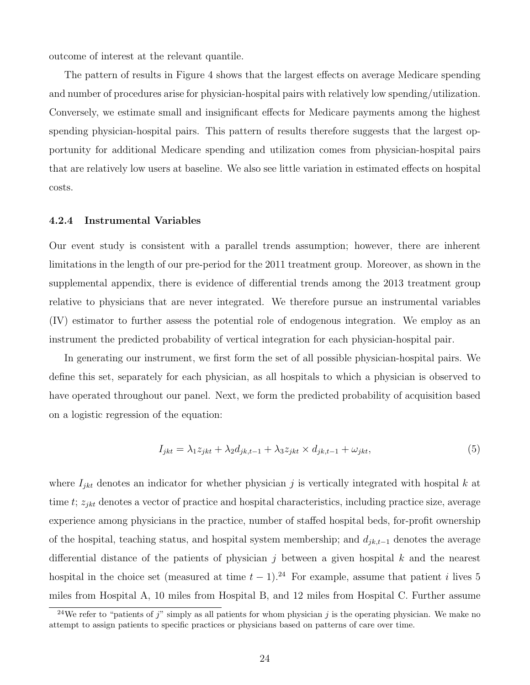outcome of interest at the relevant quantile.

The pattern of results in Figure [4](#page-36-0) shows that the largest effects on average Medicare spending and number of procedures arise for physician-hospital pairs with relatively low spending/utilization. Conversely, we estimate small and insignificant effects for Medicare payments among the highest spending physician-hospital pairs. This pattern of results therefore suggests that the largest opportunity for additional Medicare spending and utilization comes from physician-hospital pairs that are relatively low users at baseline. We also see little variation in estimated effects on hospital costs.

#### <span id="page-23-1"></span>4.2.4 Instrumental Variables

Our event study is consistent with a parallel trends assumption; however, there are inherent limitations in the length of our pre-period for the 2011 treatment group. Moreover, as shown in the supplemental appendix, there is evidence of differential trends among the 2013 treatment group relative to physicians that are never integrated. We therefore pursue an instrumental variables (IV) estimator to further assess the potential role of endogenous integration. We employ as an instrument the predicted probability of vertical integration for each physician-hospital pair.

In generating our instrument, we first form the set of all possible physician-hospital pairs. We define this set, separately for each physician, as all hospitals to which a physician is observed to have operated throughout our panel. Next, we form the predicted probability of acquisition based on a logistic regression of the equation:

$$
I_{jkt} = \lambda_1 z_{jkt} + \lambda_2 d_{jk,t-1} + \lambda_3 z_{jkt} \times d_{jk,t-1} + \omega_{jkt},\tag{5}
$$

where  $I_{jkt}$  denotes an indicator for whether physician j is vertically integrated with hospital k at time t;  $z_{jkt}$  denotes a vector of practice and hospital characteristics, including practice size, average experience among physicians in the practice, number of staffed hospital beds, for-profit ownership of the hospital, teaching status, and hospital system membership; and  $d_{jk,t-1}$  denotes the average differential distance of the patients of physician  $j$  between a given hospital k and the nearest hospital in the choice set (measured at time  $t - 1$ ).<sup>[24](#page-23-0)</sup> For example, assume that patient *i* lives 5 miles from Hospital A, 10 miles from Hospital B, and 12 miles from Hospital C. Further assume

<span id="page-23-0"></span><sup>&</sup>lt;sup>24</sup>We refer to "patients of j" simply as all patients for whom physician j is the operating physician. We make no attempt to assign patients to specific practices or physicians based on patterns of care over time.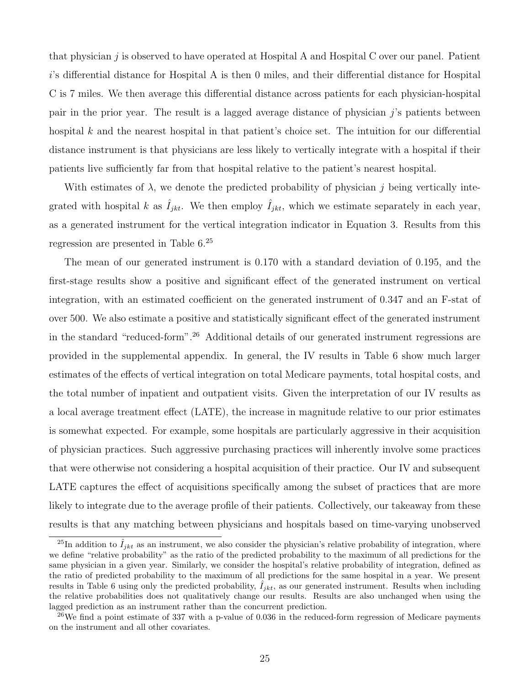that physician j is observed to have operated at Hospital A and Hospital C over our panel. Patient i's differential distance for Hospital A is then 0 miles, and their differential distance for Hospital C is 7 miles. We then average this differential distance across patients for each physician-hospital pair in the prior year. The result is a lagged average distance of physician j's patients between hospital  $k$  and the nearest hospital in that patient's choice set. The intuition for our differential distance instrument is that physicians are less likely to vertically integrate with a hospital if their patients live sufficiently far from that hospital relative to the patient's nearest hospital.

With estimates of  $\lambda$ , we denote the predicted probability of physician j being vertically integrated with hospital k as  $\hat{I}_{jkt}$ . We then employ  $\hat{I}_{jkt}$ , which we estimate separately in each year, as a generated instrument for the vertical integration indicator in Equation [3.](#page-7-2) Results from this regression are presented in Table [6.](#page-42-0) [25](#page-24-0)

The mean of our generated instrument is 0.170 with a standard deviation of 0.195, and the first-stage results show a positive and significant effect of the generated instrument on vertical integration, with an estimated coefficient on the generated instrument of 0.347 and an F-stat of over 500. We also estimate a positive and statistically significant effect of the generated instrument in the standard "reduced-form".[26](#page-24-1) Additional details of our generated instrument regressions are provided in the supplemental appendix. In general, the IV results in Table [6](#page-42-0) show much larger estimates of the effects of vertical integration on total Medicare payments, total hospital costs, and the total number of inpatient and outpatient visits. Given the interpretation of our IV results as a local average treatment effect (LATE), the increase in magnitude relative to our prior estimates is somewhat expected. For example, some hospitals are particularly aggressive in their acquisition of physician practices. Such aggressive purchasing practices will inherently involve some practices that were otherwise not considering a hospital acquisition of their practice. Our IV and subsequent LATE captures the effect of acquisitions specifically among the subset of practices that are more likely to integrate due to the average profile of their patients. Collectively, our takeaway from these results is that any matching between physicians and hospitals based on time-varying unobserved

<span id="page-24-0"></span><sup>&</sup>lt;sup>25</sup>In addition to  $\hat{I}_{ikt}$  as an instrument, we also consider the physician's relative probability of integration, where we define "relative probability" as the ratio of the predicted probability to the maximum of all predictions for the same physician in a given year. Similarly, we consider the hospital's relative probability of integration, defined as the ratio of predicted probability to the maximum of all predictions for the same hospital in a year. We present results in Table [6](#page-42-0) using only the predicted probability,  $\hat{I}_{jkt}$ , as our generated instrument. Results when including the relative probabilities does not qualitatively change our results. Results are also unchanged when using the lagged prediction as an instrument rather than the concurrent prediction.

<span id="page-24-1"></span><sup>&</sup>lt;sup>26</sup>We find a point estimate of 337 with a p-value of 0.036 in the reduced-form regression of Medicare payments on the instrument and all other covariates.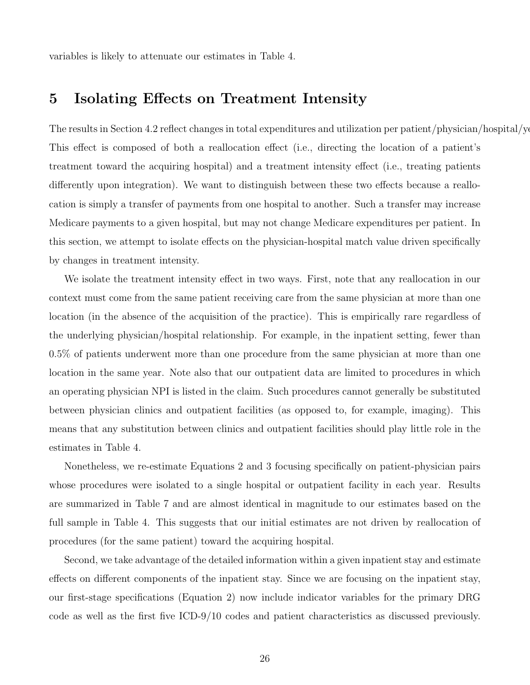variables is likely to attenuate our estimates in Table [4.](#page-40-0)

### 5 Isolating Effects on Treatment Intensity

The results in Section [4.2](#page-18-1) reflect changes in total expenditures and utilization per patient/physician/hospital/year. This effect is composed of both a reallocation effect (i.e., directing the location of a patient's treatment toward the acquiring hospital) and a treatment intensity effect (i.e., treating patients differently upon integration). We want to distinguish between these two effects because a reallocation is simply a transfer of payments from one hospital to another. Such a transfer may increase Medicare payments to a given hospital, but may not change Medicare expenditures per patient. In this section, we attempt to isolate effects on the physician-hospital match value driven specifically by changes in treatment intensity.

We isolate the treatment intensity effect in two ways. First, note that any reallocation in our context must come from the same patient receiving care from the same physician at more than one location (in the absence of the acquisition of the practice). This is empirically rare regardless of the underlying physician/hospital relationship. For example, in the inpatient setting, fewer than 0.5% of patients underwent more than one procedure from the same physician at more than one location in the same year. Note also that our outpatient data are limited to procedures in which an operating physician NPI is listed in the claim. Such procedures cannot generally be substituted between physician clinics and outpatient facilities (as opposed to, for example, imaging). This means that any substitution between clinics and outpatient facilities should play little role in the estimates in Table [4.](#page-40-0)

Nonetheless, we re-estimate Equations [2](#page-7-1) and [3](#page-7-2) focusing specifically on patient-physician pairs whose procedures were isolated to a single hospital or outpatient facility in each year. Results are summarized in Table [7](#page-43-0) and are almost identical in magnitude to our estimates based on the full sample in Table [4.](#page-40-0) This suggests that our initial estimates are not driven by reallocation of procedures (for the same patient) toward the acquiring hospital.

Second, we take advantage of the detailed information within a given inpatient stay and estimate effects on different components of the inpatient stay. Since we are focusing on the inpatient stay, our first-stage specifications (Equation [2\)](#page-7-1) now include indicator variables for the primary DRG code as well as the first five ICD-9/10 codes and patient characteristics as discussed previously.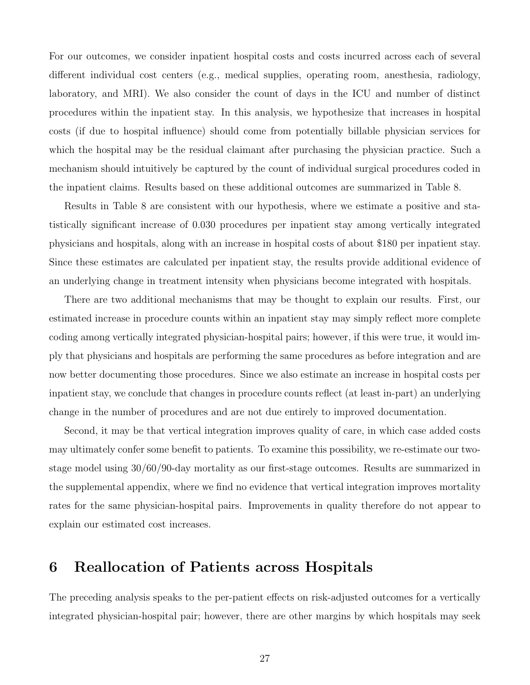For our outcomes, we consider inpatient hospital costs and costs incurred across each of several different individual cost centers (e.g., medical supplies, operating room, anesthesia, radiology, laboratory, and MRI). We also consider the count of days in the ICU and number of distinct procedures within the inpatient stay. In this analysis, we hypothesize that increases in hospital costs (if due to hospital influence) should come from potentially billable physician services for which the hospital may be the residual claimant after purchasing the physician practice. Such a mechanism should intuitively be captured by the count of individual surgical procedures coded in the inpatient claims. Results based on these additional outcomes are summarized in Table [8.](#page-44-0)

Results in Table [8](#page-44-0) are consistent with our hypothesis, where we estimate a positive and statistically significant increase of 0.030 procedures per inpatient stay among vertically integrated physicians and hospitals, along with an increase in hospital costs of about \$180 per inpatient stay. Since these estimates are calculated per inpatient stay, the results provide additional evidence of an underlying change in treatment intensity when physicians become integrated with hospitals.

There are two additional mechanisms that may be thought to explain our results. First, our estimated increase in procedure counts within an inpatient stay may simply reflect more complete coding among vertically integrated physician-hospital pairs; however, if this were true, it would imply that physicians and hospitals are performing the same procedures as before integration and are now better documenting those procedures. Since we also estimate an increase in hospital costs per inpatient stay, we conclude that changes in procedure counts reflect (at least in-part) an underlying change in the number of procedures and are not due entirely to improved documentation.

Second, it may be that vertical integration improves quality of care, in which case added costs may ultimately confer some benefit to patients. To examine this possibility, we re-estimate our twostage model using 30/60/90-day mortality as our first-stage outcomes. Results are summarized in the supplemental appendix, where we find no evidence that vertical integration improves mortality rates for the same physician-hospital pairs. Improvements in quality therefore do not appear to explain our estimated cost increases.

# <span id="page-26-0"></span>6 Reallocation of Patients across Hospitals

The preceding analysis speaks to the per-patient effects on risk-adjusted outcomes for a vertically integrated physician-hospital pair; however, there are other margins by which hospitals may seek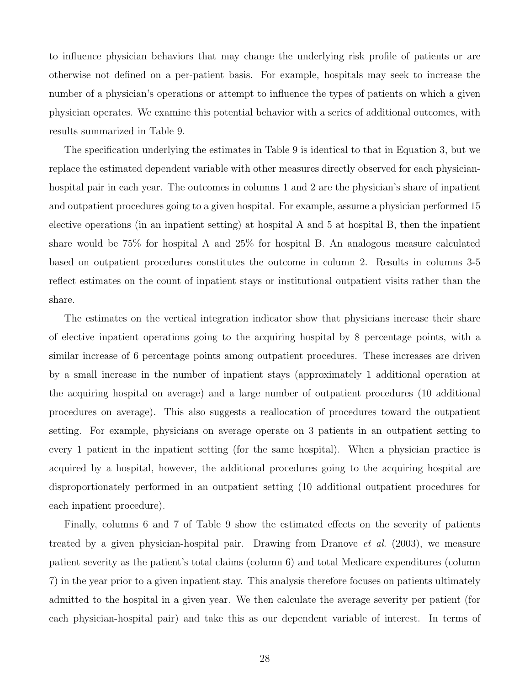to influence physician behaviors that may change the underlying risk profile of patients or are otherwise not defined on a per-patient basis. For example, hospitals may seek to increase the number of a physician's operations or attempt to influence the types of patients on which a given physician operates. We examine this potential behavior with a series of additional outcomes, with results summarized in Table [9.](#page-45-0)

The specification underlying the estimates in Table [9](#page-45-0) is identical to that in Equation [3,](#page-7-2) but we replace the estimated dependent variable with other measures directly observed for each physicianhospital pair in each year. The outcomes in columns 1 and 2 are the physician's share of inpatient and outpatient procedures going to a given hospital. For example, assume a physician performed 15 elective operations (in an inpatient setting) at hospital A and 5 at hospital B, then the inpatient share would be 75% for hospital A and 25% for hospital B. An analogous measure calculated based on outpatient procedures constitutes the outcome in column 2. Results in columns 3-5 reflect estimates on the count of inpatient stays or institutional outpatient visits rather than the share.

The estimates on the vertical integration indicator show that physicians increase their share of elective inpatient operations going to the acquiring hospital by 8 percentage points, with a similar increase of 6 percentage points among outpatient procedures. These increases are driven by a small increase in the number of inpatient stays (approximately 1 additional operation at the acquiring hospital on average) and a large number of outpatient procedures (10 additional procedures on average). This also suggests a reallocation of procedures toward the outpatient setting. For example, physicians on average operate on 3 patients in an outpatient setting to every 1 patient in the inpatient setting (for the same hospital). When a physician practice is acquired by a hospital, however, the additional procedures going to the acquiring hospital are disproportionately performed in an outpatient setting (10 additional outpatient procedures for each inpatient procedure).

Finally, columns 6 and 7 of Table [9](#page-45-0) show the estimated effects on the severity of patients treated by a given physician-hospital pair. Drawing from [Dranove](#page-31-10) et al. [\(2003\)](#page-31-10), we measure patient severity as the patient's total claims (column 6) and total Medicare expenditures (column 7) in the year prior to a given inpatient stay. This analysis therefore focuses on patients ultimately admitted to the hospital in a given year. We then calculate the average severity per patient (for each physician-hospital pair) and take this as our dependent variable of interest. In terms of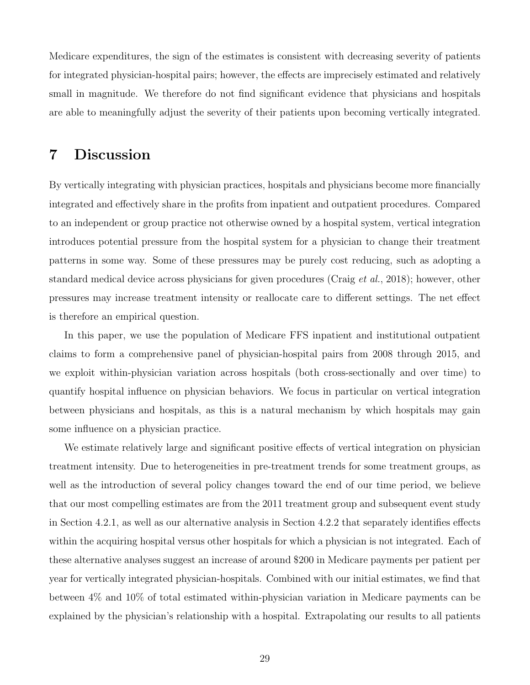Medicare expenditures, the sign of the estimates is consistent with decreasing severity of patients for integrated physician-hospital pairs; however, the effects are imprecisely estimated and relatively small in magnitude. We therefore do not find significant evidence that physicians and hospitals are able to meaningfully adjust the severity of their patients upon becoming vertically integrated.

# 7 Discussion

By vertically integrating with physician practices, hospitals and physicians become more financially integrated and effectively share in the profits from inpatient and outpatient procedures. Compared to an independent or group practice not otherwise owned by a hospital system, vertical integration introduces potential pressure from the hospital system for a physician to change their treatment patterns in some way. Some of these pressures may be purely cost reducing, such as adopting a standard medical device across physicians for given procedures [\(Craig](#page-31-11) et al., [2018\)](#page-31-11); however, other pressures may increase treatment intensity or reallocate care to different settings. The net effect is therefore an empirical question.

In this paper, we use the population of Medicare FFS inpatient and institutional outpatient claims to form a comprehensive panel of physician-hospital pairs from 2008 through 2015, and we exploit within-physician variation across hospitals (both cross-sectionally and over time) to quantify hospital influence on physician behaviors. We focus in particular on vertical integration between physicians and hospitals, as this is a natural mechanism by which hospitals may gain some influence on a physician practice.

We estimate relatively large and significant positive effects of vertical integration on physician treatment intensity. Due to heterogeneities in pre-treatment trends for some treatment groups, as well as the introduction of several policy changes toward the end of our time period, we believe that our most compelling estimates are from the 2011 treatment group and subsequent event study in Section [4.2.1,](#page-20-1) as well as our alternative analysis in Section [4.2.2](#page-21-0) that separately identifies effects within the acquiring hospital versus other hospitals for which a physician is not integrated. Each of these alternative analyses suggest an increase of around \$200 in Medicare payments per patient per year for vertically integrated physician-hospitals. Combined with our initial estimates, we find that between 4% and 10% of total estimated within-physician variation in Medicare payments can be explained by the physician's relationship with a hospital. Extrapolating our results to all patients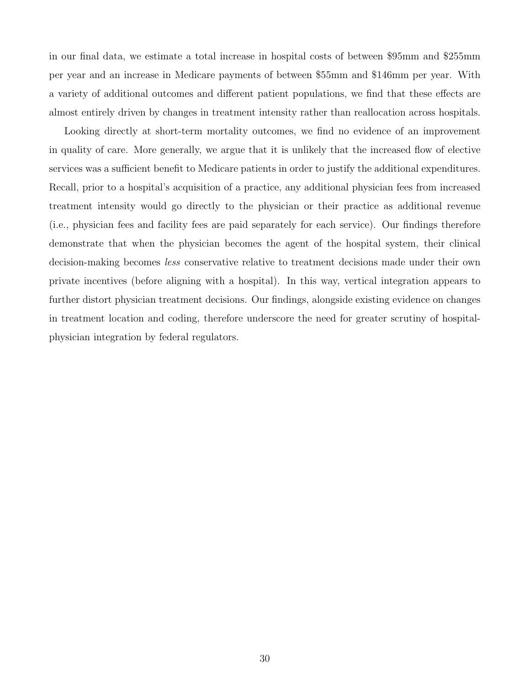in our final data, we estimate a total increase in hospital costs of between \$95mm and \$255mm per year and an increase in Medicare payments of between \$55mm and \$146mm per year. With a variety of additional outcomes and different patient populations, we find that these effects are almost entirely driven by changes in treatment intensity rather than reallocation across hospitals.

Looking directly at short-term mortality outcomes, we find no evidence of an improvement in quality of care. More generally, we argue that it is unlikely that the increased flow of elective services was a sufficient benefit to Medicare patients in order to justify the additional expenditures. Recall, prior to a hospital's acquisition of a practice, any additional physician fees from increased treatment intensity would go directly to the physician or their practice as additional revenue (i.e., physician fees and facility fees are paid separately for each service). Our findings therefore demonstrate that when the physician becomes the agent of the hospital system, their clinical decision-making becomes less conservative relative to treatment decisions made under their own private incentives (before aligning with a hospital). In this way, vertical integration appears to further distort physician treatment decisions. Our findings, alongside existing evidence on changes in treatment location and coding, therefore underscore the need for greater scrutiny of hospitalphysician integration by federal regulators.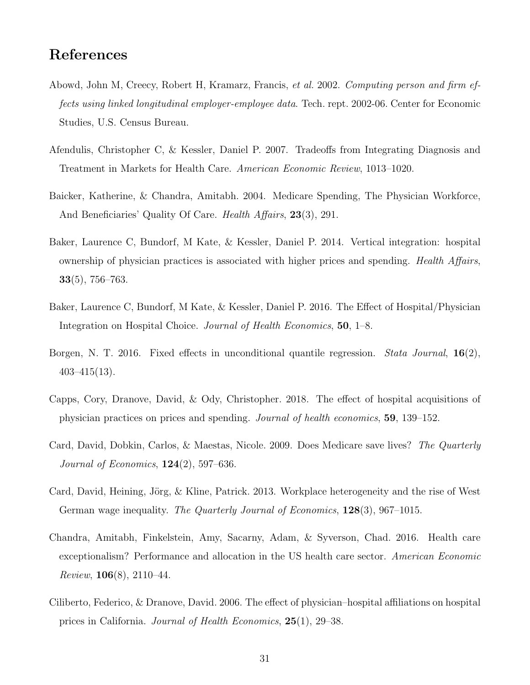# References

- <span id="page-30-3"></span>Abowd, John M, Creecy, Robert H, Kramarz, Francis, et al. 2002. Computing person and firm effects using linked longitudinal employer-employee data. Tech. rept. 2002-06. Center for Economic Studies, U.S. Census Bureau.
- <span id="page-30-6"></span>Afendulis, Christopher C, & Kessler, Daniel P. 2007. Tradeoffs from Integrating Diagnosis and Treatment in Markets for Health Care. American Economic Review, 1013–1020.
- <span id="page-30-2"></span>Baicker, Katherine, & Chandra, Amitabh. 2004. Medicare Spending, The Physician Workforce, And Beneficiaries' Quality Of Care. *Health Affairs*, **23**(3), 291.
- <span id="page-30-1"></span>Baker, Laurence C, Bundorf, M Kate, & Kessler, Daniel P. 2014. Vertical integration: hospital ownership of physician practices is associated with higher prices and spending. Health Affairs, 33(5), 756–763.
- <span id="page-30-5"></span>Baker, Laurence C, Bundorf, M Kate, & Kessler, Daniel P. 2016. The Effect of Hospital/Physician Integration on Hospital Choice. Journal of Health Economics, 50, 1–8.
- <span id="page-30-10"></span>Borgen, N. T. 2016. Fixed effects in unconditional quantile regression. *Stata Journal*,  $16(2)$ ,  $403 - 415(13)$ .
- <span id="page-30-7"></span>Capps, Cory, Dranove, David, & Ody, Christopher. 2018. The effect of hospital acquisitions of physician practices on prices and spending. Journal of health economics, 59, 139–152.
- <span id="page-30-8"></span>Card, David, Dobkin, Carlos, & Maestas, Nicole. 2009. Does Medicare save lives? The Quarterly *Journal of Economics*,  $124(2)$ , 597–636.
- <span id="page-30-4"></span>Card, David, Heining, Jörg, & Kline, Patrick. 2013. Workplace heterogeneity and the rise of West German wage inequality. The Quarterly Journal of Economics, 128(3), 967–1015.
- <span id="page-30-9"></span>Chandra, Amitabh, Finkelstein, Amy, Sacarny, Adam, & Syverson, Chad. 2016. Health care exceptionalism? Performance and allocation in the US health care sector. American Economic Review,  $106(8)$ ,  $2110-44$ .
- <span id="page-30-0"></span>Ciliberto, Federico, & Dranove, David. 2006. The effect of physician–hospital affiliations on hospital prices in California. Journal of Health Economics, 25(1), 29–38.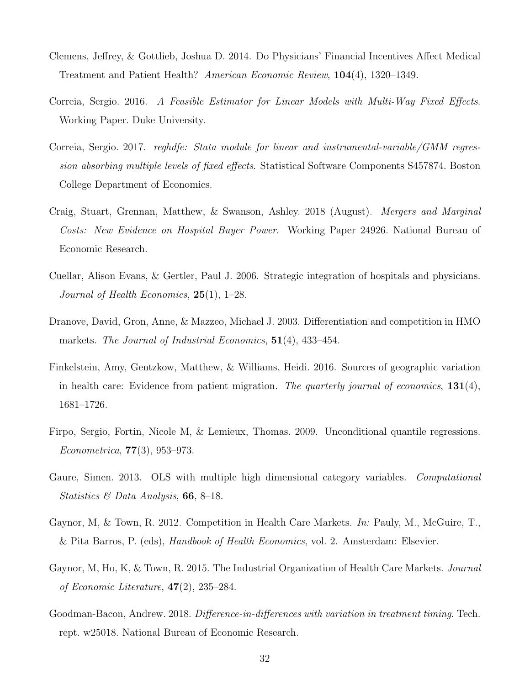- <span id="page-31-4"></span>Clemens, Jeffrey, & Gottlieb, Joshua D. 2014. Do Physicians' Financial Incentives Affect Medical Treatment and Patient Health? American Economic Review, 104(4), 1320–1349.
- <span id="page-31-5"></span>Correia, Sergio. 2016. A Feasible Estimator for Linear Models with Multi-Way Fixed Effects. Working Paper. Duke University.
- <span id="page-31-6"></span>Correia, Sergio. 2017. reghdfe: Stata module for linear and instrumental-variable/GMM regression absorbing multiple levels of fixed effects. Statistical Software Components S457874. Boston College Department of Economics.
- <span id="page-31-11"></span>Craig, Stuart, Grennan, Matthew, & Swanson, Ashley. 2018 (August). Mergers and Marginal Costs: New Evidence on Hospital Buyer Power. Working Paper 24926. National Bureau of Economic Research.
- <span id="page-31-2"></span>Cuellar, Alison Evans, & Gertler, Paul J. 2006. Strategic integration of hospitals and physicians. Journal of Health Economics,  $25(1)$ , 1–28.
- <span id="page-31-10"></span>Dranove, David, Gron, Anne, & Mazzeo, Michael J. 2003. Differentiation and competition in HMO markets. The Journal of Industrial Economics, 51(4), 433-454.
- <span id="page-31-3"></span>Finkelstein, Amy, Gentzkow, Matthew, & Williams, Heidi. 2016. Sources of geographic variation in health care: Evidence from patient migration. The quarterly journal of economics,  $131(4)$ , 1681–1726.
- <span id="page-31-9"></span>Firpo, Sergio, Fortin, Nicole M, & Lemieux, Thomas. 2009. Unconditional quantile regressions. *Econometrica*,  $77(3)$ ,  $953-973$ .
- <span id="page-31-7"></span>Gaure, Simen. 2013. OLS with multiple high dimensional category variables. Computational Statistics  $\mathcal{B}$  Data Analysis, 66, 8–18.
- <span id="page-31-0"></span>Gaynor, M, & Town, R. 2012. Competition in Health Care Markets. In: Pauly, M., McGuire, T., & Pita Barros, P. (eds), Handbook of Health Economics, vol. 2. Amsterdam: Elsevier.
- <span id="page-31-1"></span>Gaynor, M, Ho, K, & Town, R. 2015. The Industrial Organization of Health Care Markets. Journal of Economic Literature,  $47(2)$ ,  $235-284$ .
- <span id="page-31-8"></span>Goodman-Bacon, Andrew. 2018. Difference-in-differences with variation in treatment timing. Tech. rept. w25018. National Bureau of Economic Research.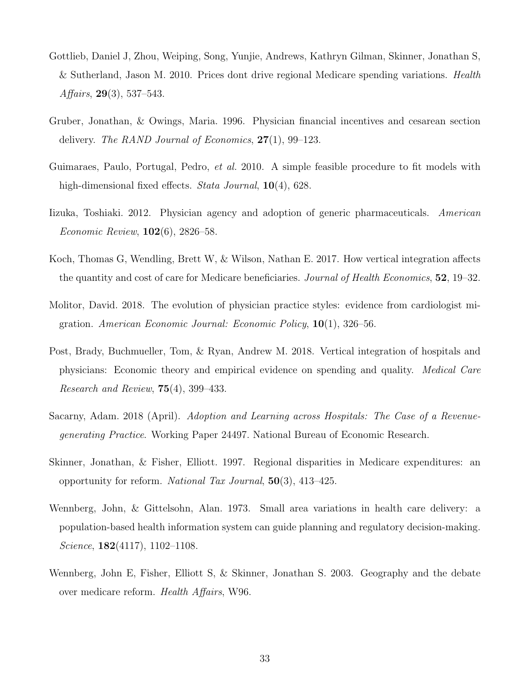- <span id="page-32-4"></span>Gottlieb, Daniel J, Zhou, Weiping, Song, Yunjie, Andrews, Kathryn Gilman, Skinner, Jonathan S, & Sutherland, Jason M. 2010. Prices dont drive regional Medicare spending variations. Health Affairs,  $29(3)$ , 537–543.
- <span id="page-32-8"></span>Gruber, Jonathan, & Owings, Maria. 1996. Physician financial incentives and cesarean section delivery. The RAND Journal of Economics, 27(1), 99–123.
- <span id="page-32-10"></span>Guimaraes, Paulo, Portugal, Pedro, *et al.* 2010. A simple feasible procedure to fit models with high-dimensional fixed effects. *Stata Journal*, **10**(4), 628.
- <span id="page-32-9"></span>Iizuka, Toshiaki. 2012. Physician agency and adoption of generic pharmaceuticals. American Economic Review, 102(6), 2826–58.
- <span id="page-32-7"></span>Koch, Thomas G, Wendling, Brett W, & Wilson, Nathan E. 2017. How vertical integration affects the quantity and cost of care for Medicare beneficiaries. Journal of Health Economics, 52, 19–32.
- <span id="page-32-5"></span>Molitor, David. 2018. The evolution of physician practice styles: evidence from cardiologist migration. American Economic Journal: Economic Policy,  $10(1)$ , 326–56.
- <span id="page-32-0"></span>Post, Brady, Buchmueller, Tom, & Ryan, Andrew M. 2018. Vertical integration of hospitals and physicians: Economic theory and empirical evidence on spending and quality. Medical Care Research and Review,  $75(4)$ , 399–433.
- <span id="page-32-6"></span>Sacarny, Adam. 2018 (April). Adoption and Learning across Hospitals: The Case of a Revenuegenerating Practice. Working Paper 24497. National Bureau of Economic Research.
- <span id="page-32-2"></span>Skinner, Jonathan, & Fisher, Elliott. 1997. Regional disparities in Medicare expenditures: an opportunity for reform. National Tax Journal, 50(3), 413–425.
- <span id="page-32-1"></span>Wennberg, John, & Gittelsohn, Alan. 1973. Small area variations in health care delivery: a population-based health information system can guide planning and regulatory decision-making. Science,  $182(4117)$ ,  $1102-1108$ .
- <span id="page-32-3"></span>Wennberg, John E, Fisher, Elliott S, & Skinner, Jonathan S. 2003. Geography and the debate over medicare reform. Health Affairs, W96.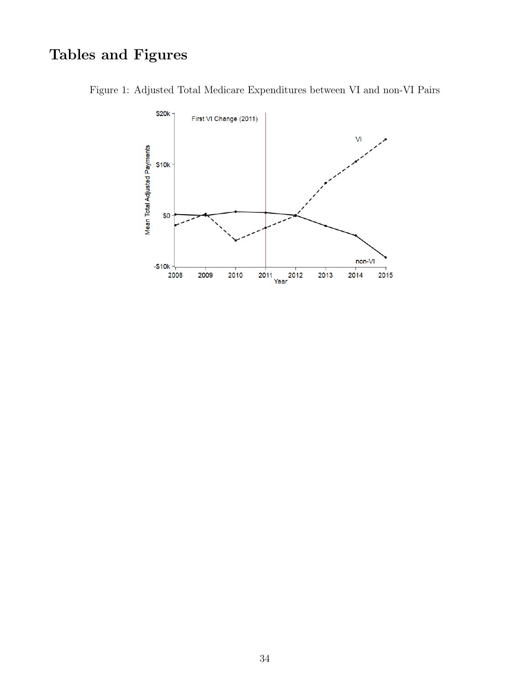# Tables and Figures

<span id="page-33-0"></span>

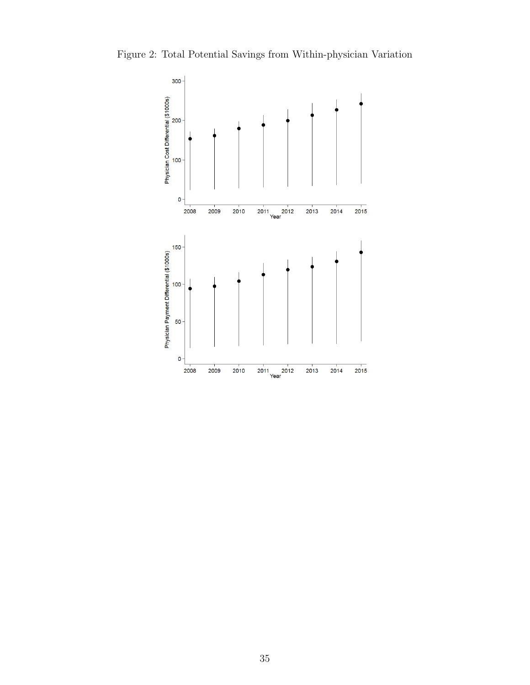<span id="page-34-0"></span>

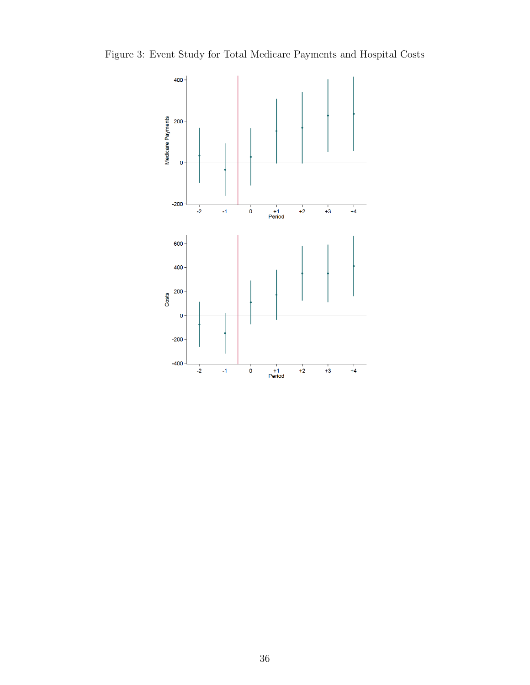<span id="page-35-0"></span>Figure 3: Event Study for Total Medicare Payments and Hospital Costs

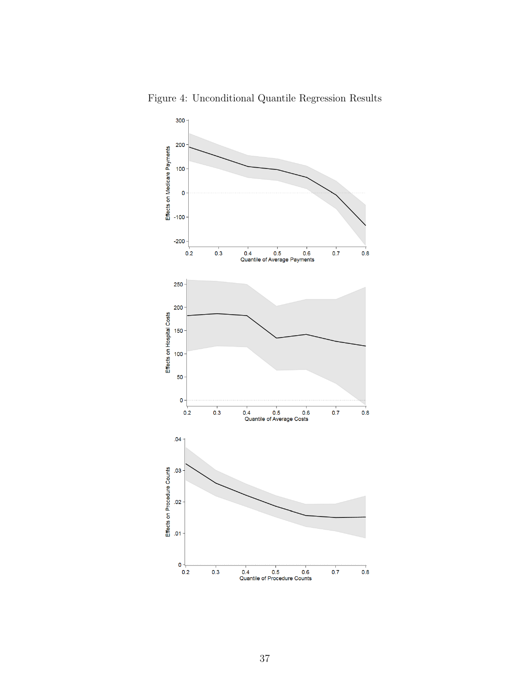

<span id="page-36-0"></span>Figure 4: Unconditional Quantile Regression Results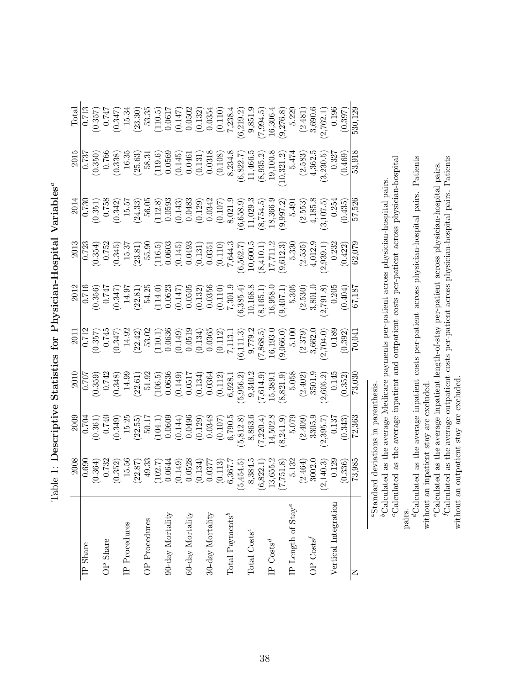| $\frac{1}{2}$<br>j<br>$\frac{1}{2}$                                             |
|---------------------------------------------------------------------------------|
| $\sim$<br>;<br>;<br>I<br>i<br>$\frac{1}{1}$<br>יי<br>-<br>-<br>-<br>-<br>-<br>í |
|                                                                                 |
| AL MULLOLLUILL<br>י<br>כ<br>į<br>J                                              |
| ;<br>;<br>)<br>)<br>ו<br>ו<br>$\mathfrak{c}$                                    |
| )<br> <br> <br>-<br> <br>                                                       |

<span id="page-37-6"></span><span id="page-37-5"></span><span id="page-37-4"></span><span id="page-37-3"></span><span id="page-37-2"></span><span id="page-37-1"></span><span id="page-37-0"></span>

| $\begin{tabular}{c} Total \\ \hline \hline \text{Total} \\ (0.357) \\ (0.347) \\ (110.5) \\ (110.5) \\ (110.5) \\ (110.5) \\ (110.5) \\ (0.0617 \\ (0.147) \\ (0.0502 \\ (0.132) \\ (0.133) \\ (0.132) \\ (0.133) \\ (0.134) \\ (0.1354 \\ (0.2394.5) \\ (0.2481) \\ (0.2481) \\ (0.2481) \\ (0.2481) \\ (0.2481) \\ (0.2481) \\ (0.24$<br>$\begin{tabular}{c c} 2015 \\ 2015 \\ 0.737 \\ 0.636) \\ (0.350) \\ (0.38) \\ (0.43) \\ (0.53) \\ (0.44) \\ (0.14) \\ (0.14) \\ (0.14) \\ (0.14) \\ (0.14) \\ (0.14) \\ (0.14) \\ (0.14) \\ (0.14) \\ (0.14) \\ (0.14) \\ (0.14) \\ (0.14) \\ (0.14) \\ (0.14) \\ (0.14) \\ (0.14) \\ (0.14) \\ (0.14) \\ (0.14) \\ (0.14) \\$<br>$\begin{array}{r} 2014 \\ 0.730 \\ 0.351 \\ 0.351 \\ 0.433 \\ 0.0342 \\ 0.0363 \\ 0.0343 \\ 0.0343 \\ 0.0343 \\ 0.0343 \\ 0.0344 \\ 0.0344 \\ 0.0344 \\ 0.0344 \\ 0.0344 \\ 0.0344 \\ 0.0344 \\ 0.0344 \\ 0.0344 \\ 0.0344 \\ 0.0344 \\ 0.0344 \\ 0.0344 \\ 0.0344 \\ 0.0344 \\ 0.0344 \\ 0.$<br>$\begin{array}{r} 2013\\ -0.723\\ -0.544\\ 0.354)\\ -0.545\\ -0.545\\ 0.0354)\\ 0.00603\\ -0.0603\\ -0.0603\\ -0.0354\\ -0.00603\\ -0.0351\\ -0.0351\\ -0.0351\\ -0.0351\\ -0.0351\\ -0.0351\\ -0.0351\\ -0.0351\\ -0.0351\\ -0.0351\\ -0.0352\\ -0.0232\\ -0.0232\\ -0.0232\\ -0.0232\\$<br>$\begin{array}{r} 2012 \\ 0.716 \\ 0.356) \\ (0.347) \\ (14.97) \\ (22.81) \\ (14.0) \\ (0.0623 \\ (0.147) \\ (0.0636 \\ (0.147) \\ (0.0356 \\ (0.147) \\ (0.0356 \\ (0.100) \\ (0.100) \\ (0.100) \\ (0.100) \\ (0.100) \\ (0.100) \\ (0.100) \\ (0.100) \\ (0.100) \\ (0.100) \\ (0.100) \\ (0.100) \\ (0.100) \\ ($<br>$\begin{array}{r} 2010\\0.707\\0.359)\\0.499\\0.500\\0.652\\0.000\\0.000\\0.000\\0.000\\0.000\\0.000\\0.000\\0.000\\0.000\\0.000\\0.000\\0.000\\0.000\\0.000\\0.000\\0.000\\0.000\\0.000\\0.000\\0.000\\0.000\\0.000\\0.000\\0.000\\0.000\\0.000\\0.000\\0.000\\0.000\\0.$<br>$\begin{array}{r} 2000\\ \hline 0.704\\ \hline 0.361)\\ \hline 0.740\\ \hline 0.349)\\ \hline 1.5,25\\ \hline 2.5,5\\ \hline 0.0360\\ \hline 1.1,1)\\ \hline 1.0340\\ \hline 0.0060\\ \hline 0.0000\\ \hline 0.0000\\ \hline 0.0000\\ \hline 0.0000\\ \hline 0.0000\\ \hline 0.0000\\ \hline 0.0000\\ \hline 1.000\\ \hline 0.0000\\ \h$<br>$\begin{array}{r} 2008 \\ 0.690 \\ 0.732 \\ (0.364) \\ (0.352) \\ (0.491) \\ (0.257) \\ (0.064) \\ (0.064) \\ (0.064) \\ (0.014) \\ (0.037) \\ (0.037) \\ (0.037) \\ (0.037) \\ (0.037) \\ (0.037) \\ (0.037) \\ (0.037) \\ (0.037) \\ (0.037) \\ (0.038) \\ (0.038) \\ (0.021) \\ (0.030) \\ (0.030) \\ (0.036) \\ ($<br>Vertical Integration<br>IP Length of ${\rm Stay}^e$<br>$60$ -day Mortality<br>Total Payments <sup>b</sup><br>$90$ day ${\rm Mortality}$<br>30-day Mortality<br>OP Procedures<br>$\rm I\!P$ Procedures<br>Total Costs <sup>c</sup><br>OP Costs <sup>f</sup><br>OP Share<br>$IP$ Costs <sup>d</sup><br>IP Share |        |  |  |  |  |
|------------------------------------------------------------------------------------------------------------------------------------------------------------------------------------------------------------------------------------------------------------------------------------------------------------------------------------------------------------------------------------------------------------------------------------------------------------------------------------------------------------------------------------------------------------------------------------------------------------------------------------------------------------------------------------------------------------------------------------------------------------------------------------------------------------------------------------------------------------------------------------------------------------------------------------------------------------------------------------------------------------------------------------------------------------------------------------------------------------------------------------------------------------------------------------------------------------------------------------------------------------------------------------------------------------------------------------------------------------------------------------------------------------------------------------------------------------------------------------------------------------------------------------------------------------------------------------------------------------------------------------------------------------------------------------------------------------------------------------------------------------------------------------------------------------------------------------------------------------------------------------------------------------------------------------------------------------------------------------------------------------------------------------------------------------------------------------------------------------------------------------------------------------------------------------------------------------------------------------------------------------------------------------------------------------------------------------------------------------------------------------------------------------------------------------------------------------------------------------------------------------------------------------------------------------------------------------------------------------------------------------------------------------------------------------------------------------------------------------------------------------------------------------------------------------------------------------------------------------------------|--------|--|--|--|--|
|                                                                                                                                                                                                                                                                                                                                                                                                                                                                                                                                                                                                                                                                                                                                                                                                                                                                                                                                                                                                                                                                                                                                                                                                                                                                                                                                                                                                                                                                                                                                                                                                                                                                                                                                                                                                                                                                                                                                                                                                                                                                                                                                                                                                                                                                                                                                                                                                                                                                                                                                                                                                                                                                                                                                                                                                                                                                        |        |  |  |  |  |
|                                                                                                                                                                                                                                                                                                                                                                                                                                                                                                                                                                                                                                                                                                                                                                                                                                                                                                                                                                                                                                                                                                                                                                                                                                                                                                                                                                                                                                                                                                                                                                                                                                                                                                                                                                                                                                                                                                                                                                                                                                                                                                                                                                                                                                                                                                                                                                                                                                                                                                                                                                                                                                                                                                                                                                                                                                                                        |        |  |  |  |  |
|                                                                                                                                                                                                                                                                                                                                                                                                                                                                                                                                                                                                                                                                                                                                                                                                                                                                                                                                                                                                                                                                                                                                                                                                                                                                                                                                                                                                                                                                                                                                                                                                                                                                                                                                                                                                                                                                                                                                                                                                                                                                                                                                                                                                                                                                                                                                                                                                                                                                                                                                                                                                                                                                                                                                                                                                                                                                        |        |  |  |  |  |
|                                                                                                                                                                                                                                                                                                                                                                                                                                                                                                                                                                                                                                                                                                                                                                                                                                                                                                                                                                                                                                                                                                                                                                                                                                                                                                                                                                                                                                                                                                                                                                                                                                                                                                                                                                                                                                                                                                                                                                                                                                                                                                                                                                                                                                                                                                                                                                                                                                                                                                                                                                                                                                                                                                                                                                                                                                                                        |        |  |  |  |  |
|                                                                                                                                                                                                                                                                                                                                                                                                                                                                                                                                                                                                                                                                                                                                                                                                                                                                                                                                                                                                                                                                                                                                                                                                                                                                                                                                                                                                                                                                                                                                                                                                                                                                                                                                                                                                                                                                                                                                                                                                                                                                                                                                                                                                                                                                                                                                                                                                                                                                                                                                                                                                                                                                                                                                                                                                                                                                        |        |  |  |  |  |
|                                                                                                                                                                                                                                                                                                                                                                                                                                                                                                                                                                                                                                                                                                                                                                                                                                                                                                                                                                                                                                                                                                                                                                                                                                                                                                                                                                                                                                                                                                                                                                                                                                                                                                                                                                                                                                                                                                                                                                                                                                                                                                                                                                                                                                                                                                                                                                                                                                                                                                                                                                                                                                                                                                                                                                                                                                                                        |        |  |  |  |  |
|                                                                                                                                                                                                                                                                                                                                                                                                                                                                                                                                                                                                                                                                                                                                                                                                                                                                                                                                                                                                                                                                                                                                                                                                                                                                                                                                                                                                                                                                                                                                                                                                                                                                                                                                                                                                                                                                                                                                                                                                                                                                                                                                                                                                                                                                                                                                                                                                                                                                                                                                                                                                                                                                                                                                                                                                                                                                        |        |  |  |  |  |
|                                                                                                                                                                                                                                                                                                                                                                                                                                                                                                                                                                                                                                                                                                                                                                                                                                                                                                                                                                                                                                                                                                                                                                                                                                                                                                                                                                                                                                                                                                                                                                                                                                                                                                                                                                                                                                                                                                                                                                                                                                                                                                                                                                                                                                                                                                                                                                                                                                                                                                                                                                                                                                                                                                                                                                                                                                                                        |        |  |  |  |  |
|                                                                                                                                                                                                                                                                                                                                                                                                                                                                                                                                                                                                                                                                                                                                                                                                                                                                                                                                                                                                                                                                                                                                                                                                                                                                                                                                                                                                                                                                                                                                                                                                                                                                                                                                                                                                                                                                                                                                                                                                                                                                                                                                                                                                                                                                                                                                                                                                                                                                                                                                                                                                                                                                                                                                                                                                                                                                        |        |  |  |  |  |
|                                                                                                                                                                                                                                                                                                                                                                                                                                                                                                                                                                                                                                                                                                                                                                                                                                                                                                                                                                                                                                                                                                                                                                                                                                                                                                                                                                                                                                                                                                                                                                                                                                                                                                                                                                                                                                                                                                                                                                                                                                                                                                                                                                                                                                                                                                                                                                                                                                                                                                                                                                                                                                                                                                                                                                                                                                                                        |        |  |  |  |  |
|                                                                                                                                                                                                                                                                                                                                                                                                                                                                                                                                                                                                                                                                                                                                                                                                                                                                                                                                                                                                                                                                                                                                                                                                                                                                                                                                                                                                                                                                                                                                                                                                                                                                                                                                                                                                                                                                                                                                                                                                                                                                                                                                                                                                                                                                                                                                                                                                                                                                                                                                                                                                                                                                                                                                                                                                                                                                        |        |  |  |  |  |
|                                                                                                                                                                                                                                                                                                                                                                                                                                                                                                                                                                                                                                                                                                                                                                                                                                                                                                                                                                                                                                                                                                                                                                                                                                                                                                                                                                                                                                                                                                                                                                                                                                                                                                                                                                                                                                                                                                                                                                                                                                                                                                                                                                                                                                                                                                                                                                                                                                                                                                                                                                                                                                                                                                                                                                                                                                                                        |        |  |  |  |  |
|                                                                                                                                                                                                                                                                                                                                                                                                                                                                                                                                                                                                                                                                                                                                                                                                                                                                                                                                                                                                                                                                                                                                                                                                                                                                                                                                                                                                                                                                                                                                                                                                                                                                                                                                                                                                                                                                                                                                                                                                                                                                                                                                                                                                                                                                                                                                                                                                                                                                                                                                                                                                                                                                                                                                                                                                                                                                        |        |  |  |  |  |
|                                                                                                                                                                                                                                                                                                                                                                                                                                                                                                                                                                                                                                                                                                                                                                                                                                                                                                                                                                                                                                                                                                                                                                                                                                                                                                                                                                                                                                                                                                                                                                                                                                                                                                                                                                                                                                                                                                                                                                                                                                                                                                                                                                                                                                                                                                                                                                                                                                                                                                                                                                                                                                                                                                                                                                                                                                                                        |        |  |  |  |  |
|                                                                                                                                                                                                                                                                                                                                                                                                                                                                                                                                                                                                                                                                                                                                                                                                                                                                                                                                                                                                                                                                                                                                                                                                                                                                                                                                                                                                                                                                                                                                                                                                                                                                                                                                                                                                                                                                                                                                                                                                                                                                                                                                                                                                                                                                                                                                                                                                                                                                                                                                                                                                                                                                                                                                                                                                                                                                        |        |  |  |  |  |
|                                                                                                                                                                                                                                                                                                                                                                                                                                                                                                                                                                                                                                                                                                                                                                                                                                                                                                                                                                                                                                                                                                                                                                                                                                                                                                                                                                                                                                                                                                                                                                                                                                                                                                                                                                                                                                                                                                                                                                                                                                                                                                                                                                                                                                                                                                                                                                                                                                                                                                                                                                                                                                                                                                                                                                                                                                                                        |        |  |  |  |  |
|                                                                                                                                                                                                                                                                                                                                                                                                                                                                                                                                                                                                                                                                                                                                                                                                                                                                                                                                                                                                                                                                                                                                                                                                                                                                                                                                                                                                                                                                                                                                                                                                                                                                                                                                                                                                                                                                                                                                                                                                                                                                                                                                                                                                                                                                                                                                                                                                                                                                                                                                                                                                                                                                                                                                                                                                                                                                        |        |  |  |  |  |
|                                                                                                                                                                                                                                                                                                                                                                                                                                                                                                                                                                                                                                                                                                                                                                                                                                                                                                                                                                                                                                                                                                                                                                                                                                                                                                                                                                                                                                                                                                                                                                                                                                                                                                                                                                                                                                                                                                                                                                                                                                                                                                                                                                                                                                                                                                                                                                                                                                                                                                                                                                                                                                                                                                                                                                                                                                                                        |        |  |  |  |  |
|                                                                                                                                                                                                                                                                                                                                                                                                                                                                                                                                                                                                                                                                                                                                                                                                                                                                                                                                                                                                                                                                                                                                                                                                                                                                                                                                                                                                                                                                                                                                                                                                                                                                                                                                                                                                                                                                                                                                                                                                                                                                                                                                                                                                                                                                                                                                                                                                                                                                                                                                                                                                                                                                                                                                                                                                                                                                        |        |  |  |  |  |
|                                                                                                                                                                                                                                                                                                                                                                                                                                                                                                                                                                                                                                                                                                                                                                                                                                                                                                                                                                                                                                                                                                                                                                                                                                                                                                                                                                                                                                                                                                                                                                                                                                                                                                                                                                                                                                                                                                                                                                                                                                                                                                                                                                                                                                                                                                                                                                                                                                                                                                                                                                                                                                                                                                                                                                                                                                                                        |        |  |  |  |  |
|                                                                                                                                                                                                                                                                                                                                                                                                                                                                                                                                                                                                                                                                                                                                                                                                                                                                                                                                                                                                                                                                                                                                                                                                                                                                                                                                                                                                                                                                                                                                                                                                                                                                                                                                                                                                                                                                                                                                                                                                                                                                                                                                                                                                                                                                                                                                                                                                                                                                                                                                                                                                                                                                                                                                                                                                                                                                        |        |  |  |  |  |
|                                                                                                                                                                                                                                                                                                                                                                                                                                                                                                                                                                                                                                                                                                                                                                                                                                                                                                                                                                                                                                                                                                                                                                                                                                                                                                                                                                                                                                                                                                                                                                                                                                                                                                                                                                                                                                                                                                                                                                                                                                                                                                                                                                                                                                                                                                                                                                                                                                                                                                                                                                                                                                                                                                                                                                                                                                                                        |        |  |  |  |  |
|                                                                                                                                                                                                                                                                                                                                                                                                                                                                                                                                                                                                                                                                                                                                                                                                                                                                                                                                                                                                                                                                                                                                                                                                                                                                                                                                                                                                                                                                                                                                                                                                                                                                                                                                                                                                                                                                                                                                                                                                                                                                                                                                                                                                                                                                                                                                                                                                                                                                                                                                                                                                                                                                                                                                                                                                                                                                        |        |  |  |  |  |
|                                                                                                                                                                                                                                                                                                                                                                                                                                                                                                                                                                                                                                                                                                                                                                                                                                                                                                                                                                                                                                                                                                                                                                                                                                                                                                                                                                                                                                                                                                                                                                                                                                                                                                                                                                                                                                                                                                                                                                                                                                                                                                                                                                                                                                                                                                                                                                                                                                                                                                                                                                                                                                                                                                                                                                                                                                                                        |        |  |  |  |  |
|                                                                                                                                                                                                                                                                                                                                                                                                                                                                                                                                                                                                                                                                                                                                                                                                                                                                                                                                                                                                                                                                                                                                                                                                                                                                                                                                                                                                                                                                                                                                                                                                                                                                                                                                                                                                                                                                                                                                                                                                                                                                                                                                                                                                                                                                                                                                                                                                                                                                                                                                                                                                                                                                                                                                                                                                                                                                        |        |  |  |  |  |
|                                                                                                                                                                                                                                                                                                                                                                                                                                                                                                                                                                                                                                                                                                                                                                                                                                                                                                                                                                                                                                                                                                                                                                                                                                                                                                                                                                                                                                                                                                                                                                                                                                                                                                                                                                                                                                                                                                                                                                                                                                                                                                                                                                                                                                                                                                                                                                                                                                                                                                                                                                                                                                                                                                                                                                                                                                                                        |        |  |  |  |  |
|                                                                                                                                                                                                                                                                                                                                                                                                                                                                                                                                                                                                                                                                                                                                                                                                                                                                                                                                                                                                                                                                                                                                                                                                                                                                                                                                                                                                                                                                                                                                                                                                                                                                                                                                                                                                                                                                                                                                                                                                                                                                                                                                                                                                                                                                                                                                                                                                                                                                                                                                                                                                                                                                                                                                                                                                                                                                        | 73,985 |  |  |  |  |

 $a$  Standard deviations in parenthesis. aStandard deviations in parenthesis.

"Calculated as the average inpatient and outpatient costs per-patient across physician-hospital cCalculated as the average inpatient and outpatient costs per-patient across physician-hospital  ${}^b$ Calculated as the average Medicare payments per-patient across physician-hospital pairs. bCalculated as the average Medicare payments per-patient across physician-hospital pairs.

pairs. <br>  $\label{eq:1} \begin{aligned} &\text{pairs.} \\ &\text{d}\text{Calculated as the average in}\text{patient costs per-patient across physical points. } \text{ Patients} \end{aligned}$ dCalculated as the average inpatient costs per-patient across physician-hospital pairs. Patients without an inpatient stay are excluded. without an inpatient stay are excluded.

JCalculated as the average outpatient costs per-patient across physician-hospital pairs. Patients fCalculated as the average outpatient costs per-patient across physician-hospital pairs. Patients "Calculated as the average inpatient length-of-stay per-patient across physician-hospital pairs. eCalculated as the average inpatient length-of-stay per-patient across physician-hospital pairs.

without an outpatient stay are excluded. without an outpatient stay are excluded.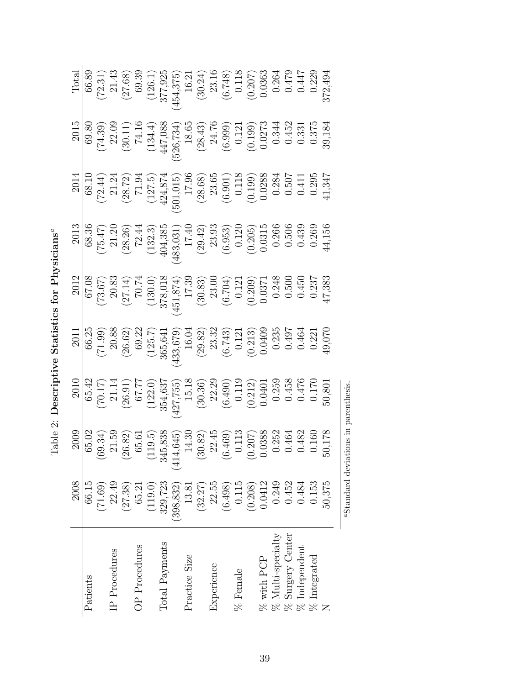<span id="page-38-0"></span>Table 2: Descriptive Statistics for Physicians<sup>a</sup>  $Table 2: Describe **Statistics for Physics**  $A$$  $Table 2: Describe **Statistics for Physics**  $A$$  $Table 2: Describe **Statistics for Physics**  $A$$ 

<span id="page-38-1"></span>

|                                      | 2008       |                                                                                                                                                                                                                                                                                                                             | 2010                                                                                                                                                                                                                                                                                                                                                                                            | 2011                                                                                                                                                                                                                                                                                                                     | 2012                                                                                                                                                                                                                                                                                        | $\frac{2013}{20}$                                                                                                                                                                                          | 2014                                                                                                                                                                                                                                                                                                       | 2015                                                                                                                                                                                                                                                                                                                | Total                                                                                                                                                                                                                                                         |
|--------------------------------------|------------|-----------------------------------------------------------------------------------------------------------------------------------------------------------------------------------------------------------------------------------------------------------------------------------------------------------------------------|-------------------------------------------------------------------------------------------------------------------------------------------------------------------------------------------------------------------------------------------------------------------------------------------------------------------------------------------------------------------------------------------------|--------------------------------------------------------------------------------------------------------------------------------------------------------------------------------------------------------------------------------------------------------------------------------------------------------------------------|---------------------------------------------------------------------------------------------------------------------------------------------------------------------------------------------------------------------------------------------------------------------------------------------|------------------------------------------------------------------------------------------------------------------------------------------------------------------------------------------------------------|------------------------------------------------------------------------------------------------------------------------------------------------------------------------------------------------------------------------------------------------------------------------------------------------------------|---------------------------------------------------------------------------------------------------------------------------------------------------------------------------------------------------------------------------------------------------------------------------------------------------------------------|---------------------------------------------------------------------------------------------------------------------------------------------------------------------------------------------------------------------------------------------------------------|
| Patients                             | 66.15      |                                                                                                                                                                                                                                                                                                                             |                                                                                                                                                                                                                                                                                                                                                                                                 |                                                                                                                                                                                                                                                                                                                          |                                                                                                                                                                                                                                                                                             |                                                                                                                                                                                                            |                                                                                                                                                                                                                                                                                                            |                                                                                                                                                                                                                                                                                                                     |                                                                                                                                                                                                                                                               |
|                                      | (71.69)    |                                                                                                                                                                                                                                                                                                                             |                                                                                                                                                                                                                                                                                                                                                                                                 |                                                                                                                                                                                                                                                                                                                          |                                                                                                                                                                                                                                                                                             |                                                                                                                                                                                                            |                                                                                                                                                                                                                                                                                                            |                                                                                                                                                                                                                                                                                                                     |                                                                                                                                                                                                                                                               |
| IP Procedures                        | 22.49      |                                                                                                                                                                                                                                                                                                                             |                                                                                                                                                                                                                                                                                                                                                                                                 |                                                                                                                                                                                                                                                                                                                          |                                                                                                                                                                                                                                                                                             |                                                                                                                                                                                                            |                                                                                                                                                                                                                                                                                                            |                                                                                                                                                                                                                                                                                                                     |                                                                                                                                                                                                                                                               |
|                                      | (27.38)    |                                                                                                                                                                                                                                                                                                                             | $\begin{array}{c} \text{(55.42)}\\ \text{(70.17)}\\ \text{(26.91)}\\ \text{(26.91)}\\ \text{(27.77)}\\ \text{(32.0)}\\ \text{(427,755)}\\ \text{(30.36)}\\ \text{(30.37)}\\ \text{(30.38)}\\ \text{(30.39)}\\ \text{(0.412)}\\ \text{(0.490)}\\ \text{(0.412)}\\ \text{(0.458}\\ \text{(0.476)}\\ \text{(0.476)}\\ \text{(0.476)}\\ \text{(0.476)}\\ \text{(0.48)}\\ \text{(0.49)}\\ \text{(0.$ | $\begin{array}{c} 66.25 \\ (71.99) \\ (26.62) \\ (9.32) \\ (125.7) \\ (433,679) \\ (6.14) \\ (6.14) \\ (6.14) \\ (6.14) \\ (6.14) \\ (6.23) \\ (6.213) \\ (0.213) \\ (0.497) \\ (0.497) \\ (0.497) \\ (0.497) \\ (0.497) \\ (0.497) \\ (0.497) \\ (0.497) \\ (0.497) \\ (0.497) \\ (0.498) \\ (0.497) \\ (0.497) \\ (0.$ |                                                                                                                                                                                                                                                                                             | $(75.47) \n(75.47) \n(28.36) \n(28.27) \n(28.49) \n(132.3) \n(132.3) \n(132.3) \n(132.4) \n(132.5) \n(132.6) \n(132.7) \n(132.8) \n(132.8) \n(132.9) \n(132.9) \n(132.9) \n(132.9) \n(132.9) \n(132.9) \n$ | $\begin{array}{c} 68.10 \\ (72.44) \\ (28.72) \\ (127.5) \\ (127.5) \\ (127.5) \\ (127.5) \\ (501,015) \\ (501,015) \\ (501,015) \\ (0.901) \\ (0.118) \\ (0.199) \\ (0.507) \\ 0.507 \\ 0.650 \\ 0.650 \\ 0.650 \\ 0.650 \\ 0.650 \\ 0.650 \\ 0.650 \\ 0.650 \\ 0.650 \\ 0.650 \\ 0.650 \\ 0.650 \\ 0.65$ | $\begin{array}{c} 69.80 \\ (74.39) \\ (30.11) \\ (134.4) \\ (526,734) \\ (586,734) \\ (6.999) \\ (74.16) \\ (526,734) \\ (8.65) \\ (0.121) \\ (0.121) \\ (0.1373 \\ (0.331 \\ 0.375 \\ (0.331 \\ 0.375 \\ (0.331 \\ 0.375 \\ (0.331 \\ 0.375 \\ (0.331 \\ 0.375 \\ (0.331 \\ 0.331 \\ (0.331 \\ 0.331 \\ (0.331 \\$ | $(72.31) (72.31) (126.1) (126.1) (126.1) (126.1) (126.1) (126.1) (126.1) (126.1) (126.1) (126.1) (126.1) (126.1) (126.1) (126.1) (126.1) (126.1) (126.1) (126.1) (126.1) (126.1) (126.1) (126.1) (126.1) (126.1) (126.1) (126.1) (126.1) (126.1) (126.1) (12$ |
| OP Procedures                        | 65.21      |                                                                                                                                                                                                                                                                                                                             |                                                                                                                                                                                                                                                                                                                                                                                                 |                                                                                                                                                                                                                                                                                                                          |                                                                                                                                                                                                                                                                                             |                                                                                                                                                                                                            |                                                                                                                                                                                                                                                                                                            |                                                                                                                                                                                                                                                                                                                     |                                                                                                                                                                                                                                                               |
|                                      | (119.0)    |                                                                                                                                                                                                                                                                                                                             |                                                                                                                                                                                                                                                                                                                                                                                                 |                                                                                                                                                                                                                                                                                                                          |                                                                                                                                                                                                                                                                                             |                                                                                                                                                                                                            |                                                                                                                                                                                                                                                                                                            |                                                                                                                                                                                                                                                                                                                     |                                                                                                                                                                                                                                                               |
| Total Payments                       | 329,723    |                                                                                                                                                                                                                                                                                                                             |                                                                                                                                                                                                                                                                                                                                                                                                 |                                                                                                                                                                                                                                                                                                                          |                                                                                                                                                                                                                                                                                             |                                                                                                                                                                                                            |                                                                                                                                                                                                                                                                                                            |                                                                                                                                                                                                                                                                                                                     |                                                                                                                                                                                                                                                               |
|                                      | (398, 832) | (414)                                                                                                                                                                                                                                                                                                                       |                                                                                                                                                                                                                                                                                                                                                                                                 |                                                                                                                                                                                                                                                                                                                          |                                                                                                                                                                                                                                                                                             |                                                                                                                                                                                                            |                                                                                                                                                                                                                                                                                                            |                                                                                                                                                                                                                                                                                                                     |                                                                                                                                                                                                                                                               |
| Practice Size                        | 13.81      |                                                                                                                                                                                                                                                                                                                             |                                                                                                                                                                                                                                                                                                                                                                                                 |                                                                                                                                                                                                                                                                                                                          |                                                                                                                                                                                                                                                                                             |                                                                                                                                                                                                            |                                                                                                                                                                                                                                                                                                            |                                                                                                                                                                                                                                                                                                                     |                                                                                                                                                                                                                                                               |
|                                      | (32.27)    |                                                                                                                                                                                                                                                                                                                             |                                                                                                                                                                                                                                                                                                                                                                                                 |                                                                                                                                                                                                                                                                                                                          |                                                                                                                                                                                                                                                                                             |                                                                                                                                                                                                            |                                                                                                                                                                                                                                                                                                            |                                                                                                                                                                                                                                                                                                                     |                                                                                                                                                                                                                                                               |
| Experience                           | 22.55      |                                                                                                                                                                                                                                                                                                                             |                                                                                                                                                                                                                                                                                                                                                                                                 |                                                                                                                                                                                                                                                                                                                          |                                                                                                                                                                                                                                                                                             |                                                                                                                                                                                                            |                                                                                                                                                                                                                                                                                                            |                                                                                                                                                                                                                                                                                                                     |                                                                                                                                                                                                                                                               |
|                                      | (6.498)    |                                                                                                                                                                                                                                                                                                                             |                                                                                                                                                                                                                                                                                                                                                                                                 |                                                                                                                                                                                                                                                                                                                          |                                                                                                                                                                                                                                                                                             |                                                                                                                                                                                                            |                                                                                                                                                                                                                                                                                                            |                                                                                                                                                                                                                                                                                                                     |                                                                                                                                                                                                                                                               |
| % Female                             | 0.115      |                                                                                                                                                                                                                                                                                                                             |                                                                                                                                                                                                                                                                                                                                                                                                 |                                                                                                                                                                                                                                                                                                                          |                                                                                                                                                                                                                                                                                             |                                                                                                                                                                                                            |                                                                                                                                                                                                                                                                                                            |                                                                                                                                                                                                                                                                                                                     |                                                                                                                                                                                                                                                               |
|                                      | (0.208)    |                                                                                                                                                                                                                                                                                                                             |                                                                                                                                                                                                                                                                                                                                                                                                 |                                                                                                                                                                                                                                                                                                                          |                                                                                                                                                                                                                                                                                             |                                                                                                                                                                                                            |                                                                                                                                                                                                                                                                                                            |                                                                                                                                                                                                                                                                                                                     |                                                                                                                                                                                                                                                               |
|                                      | 0.0412     |                                                                                                                                                                                                                                                                                                                             |                                                                                                                                                                                                                                                                                                                                                                                                 |                                                                                                                                                                                                                                                                                                                          |                                                                                                                                                                                                                                                                                             |                                                                                                                                                                                                            |                                                                                                                                                                                                                                                                                                            |                                                                                                                                                                                                                                                                                                                     |                                                                                                                                                                                                                                                               |
| $\%$ with PCP $\%$ Multi-specialty   | 0.249      |                                                                                                                                                                                                                                                                                                                             |                                                                                                                                                                                                                                                                                                                                                                                                 |                                                                                                                                                                                                                                                                                                                          |                                                                                                                                                                                                                                                                                             |                                                                                                                                                                                                            |                                                                                                                                                                                                                                                                                                            |                                                                                                                                                                                                                                                                                                                     |                                                                                                                                                                                                                                                               |
| $\%$ Surgery Center $\%$ Independent | 0.452      |                                                                                                                                                                                                                                                                                                                             |                                                                                                                                                                                                                                                                                                                                                                                                 |                                                                                                                                                                                                                                                                                                                          |                                                                                                                                                                                                                                                                                             |                                                                                                                                                                                                            |                                                                                                                                                                                                                                                                                                            |                                                                                                                                                                                                                                                                                                                     |                                                                                                                                                                                                                                                               |
|                                      | 0.484      |                                                                                                                                                                                                                                                                                                                             |                                                                                                                                                                                                                                                                                                                                                                                                 |                                                                                                                                                                                                                                                                                                                          |                                                                                                                                                                                                                                                                                             |                                                                                                                                                                                                            |                                                                                                                                                                                                                                                                                                            |                                                                                                                                                                                                                                                                                                                     |                                                                                                                                                                                                                                                               |
| $\%$ Integrated                      | 0.153      | $\begin{array}{r rrrr} & 2009 \\ \hline 65.02 \\ (69.34) \\ (26.82) \\ (26.81) \\ (36.51) \\ (119.5) \\ (119.5) \\ (30.82) \\ (30.82) \\ (6.469) \\ (0.207) \\ (0.464) \\ (0.482) \\ (0.482) \\ (0.483) \\ (0.482) \\ (0.483) \\ (0.484) \\ (0.482) \\ (0.483) \\ (0.484) \\ (0.485) \\ (0.485) \\ (0.485) \\ (0.488) \\ ($ |                                                                                                                                                                                                                                                                                                                                                                                                 |                                                                                                                                                                                                                                                                                                                          | $\begin{array}{c} 67.08\\ (73.67)\\ (20.33)\\ (27.14)\\ (130.0)\\ (30.3)\\ (451,874)\\ (57.0)\\ (451,874)\\ (5704)\\ (6.704)\\ (0.209)\\ (0.500)\\ (0.450)\\ (0.450)\\ (0.450)\\ (0.450)\\ (0.450)\\ (0.450)\\ (0.450)\\ (0.450)\\ (0.450)\\ (0.450)\\ (0.450)\\ (0.450)\\ (0.450)\\ (0.45$ |                                                                                                                                                                                                            |                                                                                                                                                                                                                                                                                                            |                                                                                                                                                                                                                                                                                                                     |                                                                                                                                                                                                                                                               |
| Z                                    | 50,375     | 50,178                                                                                                                                                                                                                                                                                                                      | 50,801                                                                                                                                                                                                                                                                                                                                                                                          | 49,070                                                                                                                                                                                                                                                                                                                   | 47,383                                                                                                                                                                                                                                                                                      | 44,156                                                                                                                                                                                                     | 41,347                                                                                                                                                                                                                                                                                                     | 39,184                                                                                                                                                                                                                                                                                                              | 372,494                                                                                                                                                                                                                                                       |
|                                      |            | "Standard deviations in parenthesis                                                                                                                                                                                                                                                                                         |                                                                                                                                                                                                                                                                                                                                                                                                 |                                                                                                                                                                                                                                                                                                                          |                                                                                                                                                                                                                                                                                             |                                                                                                                                                                                                            |                                                                                                                                                                                                                                                                                                            |                                                                                                                                                                                                                                                                                                                     |                                                                                                                                                                                                                                                               |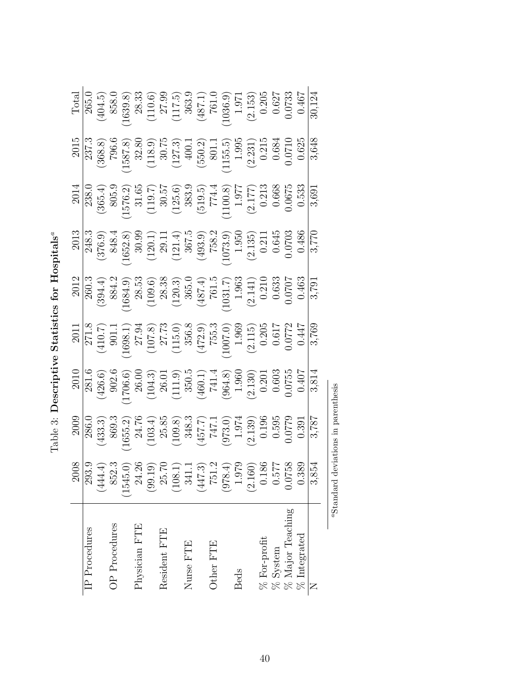<span id="page-39-1"></span>

| IP Procedures       |                                                                                                                                                                                                                    |                                                                                                                                                                                                                                      |                                                                                                                                                                                                                      |                                                                                                                                                                                                                                                                    |                                                                                                                                                                                                                     |                                                                                                                                                                                                                                                                                                                      |                                                                                                                                                                                                                                                                                                                                              |                                                                                                                                                                                                                                                                                                                      |                                                                                                                                                                                                                                         |
|---------------------|--------------------------------------------------------------------------------------------------------------------------------------------------------------------------------------------------------------------|--------------------------------------------------------------------------------------------------------------------------------------------------------------------------------------------------------------------------------------|----------------------------------------------------------------------------------------------------------------------------------------------------------------------------------------------------------------------|--------------------------------------------------------------------------------------------------------------------------------------------------------------------------------------------------------------------------------------------------------------------|---------------------------------------------------------------------------------------------------------------------------------------------------------------------------------------------------------------------|----------------------------------------------------------------------------------------------------------------------------------------------------------------------------------------------------------------------------------------------------------------------------------------------------------------------|----------------------------------------------------------------------------------------------------------------------------------------------------------------------------------------------------------------------------------------------------------------------------------------------------------------------------------------------|----------------------------------------------------------------------------------------------------------------------------------------------------------------------------------------------------------------------------------------------------------------------------------------------------------------------|-----------------------------------------------------------------------------------------------------------------------------------------------------------------------------------------------------------------------------------------|
|                     |                                                                                                                                                                                                                    |                                                                                                                                                                                                                                      |                                                                                                                                                                                                                      |                                                                                                                                                                                                                                                                    |                                                                                                                                                                                                                     |                                                                                                                                                                                                                                                                                                                      |                                                                                                                                                                                                                                                                                                                                              |                                                                                                                                                                                                                                                                                                                      |                                                                                                                                                                                                                                         |
| OP Procedures       |                                                                                                                                                                                                                    |                                                                                                                                                                                                                                      |                                                                                                                                                                                                                      |                                                                                                                                                                                                                                                                    |                                                                                                                                                                                                                     |                                                                                                                                                                                                                                                                                                                      |                                                                                                                                                                                                                                                                                                                                              |                                                                                                                                                                                                                                                                                                                      |                                                                                                                                                                                                                                         |
|                     |                                                                                                                                                                                                                    |                                                                                                                                                                                                                                      |                                                                                                                                                                                                                      |                                                                                                                                                                                                                                                                    |                                                                                                                                                                                                                     |                                                                                                                                                                                                                                                                                                                      |                                                                                                                                                                                                                                                                                                                                              |                                                                                                                                                                                                                                                                                                                      |                                                                                                                                                                                                                                         |
| Physician FTE       |                                                                                                                                                                                                                    |                                                                                                                                                                                                                                      |                                                                                                                                                                                                                      |                                                                                                                                                                                                                                                                    |                                                                                                                                                                                                                     |                                                                                                                                                                                                                                                                                                                      |                                                                                                                                                                                                                                                                                                                                              |                                                                                                                                                                                                                                                                                                                      |                                                                                                                                                                                                                                         |
|                     |                                                                                                                                                                                                                    |                                                                                                                                                                                                                                      |                                                                                                                                                                                                                      |                                                                                                                                                                                                                                                                    |                                                                                                                                                                                                                     |                                                                                                                                                                                                                                                                                                                      |                                                                                                                                                                                                                                                                                                                                              |                                                                                                                                                                                                                                                                                                                      |                                                                                                                                                                                                                                         |
| Resident FTE        |                                                                                                                                                                                                                    |                                                                                                                                                                                                                                      |                                                                                                                                                                                                                      |                                                                                                                                                                                                                                                                    |                                                                                                                                                                                                                     |                                                                                                                                                                                                                                                                                                                      |                                                                                                                                                                                                                                                                                                                                              |                                                                                                                                                                                                                                                                                                                      |                                                                                                                                                                                                                                         |
|                     |                                                                                                                                                                                                                    |                                                                                                                                                                                                                                      |                                                                                                                                                                                                                      |                                                                                                                                                                                                                                                                    |                                                                                                                                                                                                                     |                                                                                                                                                                                                                                                                                                                      |                                                                                                                                                                                                                                                                                                                                              |                                                                                                                                                                                                                                                                                                                      |                                                                                                                                                                                                                                         |
| Nurse FTE           |                                                                                                                                                                                                                    |                                                                                                                                                                                                                                      |                                                                                                                                                                                                                      |                                                                                                                                                                                                                                                                    |                                                                                                                                                                                                                     |                                                                                                                                                                                                                                                                                                                      |                                                                                                                                                                                                                                                                                                                                              |                                                                                                                                                                                                                                                                                                                      |                                                                                                                                                                                                                                         |
|                     |                                                                                                                                                                                                                    |                                                                                                                                                                                                                                      |                                                                                                                                                                                                                      |                                                                                                                                                                                                                                                                    |                                                                                                                                                                                                                     |                                                                                                                                                                                                                                                                                                                      |                                                                                                                                                                                                                                                                                                                                              |                                                                                                                                                                                                                                                                                                                      |                                                                                                                                                                                                                                         |
| Other FTE           |                                                                                                                                                                                                                    |                                                                                                                                                                                                                                      |                                                                                                                                                                                                                      |                                                                                                                                                                                                                                                                    |                                                                                                                                                                                                                     |                                                                                                                                                                                                                                                                                                                      |                                                                                                                                                                                                                                                                                                                                              |                                                                                                                                                                                                                                                                                                                      |                                                                                                                                                                                                                                         |
|                     |                                                                                                                                                                                                                    |                                                                                                                                                                                                                                      |                                                                                                                                                                                                                      |                                                                                                                                                                                                                                                                    |                                                                                                                                                                                                                     |                                                                                                                                                                                                                                                                                                                      |                                                                                                                                                                                                                                                                                                                                              |                                                                                                                                                                                                                                                                                                                      |                                                                                                                                                                                                                                         |
| <b>Beds</b>         |                                                                                                                                                                                                                    |                                                                                                                                                                                                                                      |                                                                                                                                                                                                                      |                                                                                                                                                                                                                                                                    |                                                                                                                                                                                                                     |                                                                                                                                                                                                                                                                                                                      |                                                                                                                                                                                                                                                                                                                                              |                                                                                                                                                                                                                                                                                                                      |                                                                                                                                                                                                                                         |
|                     |                                                                                                                                                                                                                    |                                                                                                                                                                                                                                      |                                                                                                                                                                                                                      |                                                                                                                                                                                                                                                                    |                                                                                                                                                                                                                     |                                                                                                                                                                                                                                                                                                                      |                                                                                                                                                                                                                                                                                                                                              |                                                                                                                                                                                                                                                                                                                      |                                                                                                                                                                                                                                         |
| % For-profit        |                                                                                                                                                                                                                    |                                                                                                                                                                                                                                      |                                                                                                                                                                                                                      |                                                                                                                                                                                                                                                                    |                                                                                                                                                                                                                     |                                                                                                                                                                                                                                                                                                                      |                                                                                                                                                                                                                                                                                                                                              |                                                                                                                                                                                                                                                                                                                      |                                                                                                                                                                                                                                         |
| $\%$ System         |                                                                                                                                                                                                                    |                                                                                                                                                                                                                                      |                                                                                                                                                                                                                      |                                                                                                                                                                                                                                                                    |                                                                                                                                                                                                                     |                                                                                                                                                                                                                                                                                                                      |                                                                                                                                                                                                                                                                                                                                              |                                                                                                                                                                                                                                                                                                                      |                                                                                                                                                                                                                                         |
| $\%$ Major Teaching |                                                                                                                                                                                                                    |                                                                                                                                                                                                                                      |                                                                                                                                                                                                                      |                                                                                                                                                                                                                                                                    |                                                                                                                                                                                                                     |                                                                                                                                                                                                                                                                                                                      |                                                                                                                                                                                                                                                                                                                                              |                                                                                                                                                                                                                                                                                                                      |                                                                                                                                                                                                                                         |
| $\%$ Integrated     | $\begin{array}{c c} 2008 \\ \hline 293.9 \\ (444.4) \\ (545.0) \\ (99.19) \\ (1545.0) \\ (90.19) \\ (108.1) \\ (108.1) \\ (978.4) \\ (978.4) \\ (978.4) \\ (100) \\ 0.577 \\ 0.038 \\ 0.038 \\ \hline \end{array}$ | $\begin{array}{r} 2008 \\ 286.0 \\ (433.3) \\ (1655.2) \\ (163.4) \\ (103.4) \\ (103.8) \\ (103.8) \\ (103.8) \\ (103.8) \\ (103.8) \\ (103.8) \\ (157.7) \\ (137.1) \\ (21.3) \\ (0.595 \\ 0.595 \\ (0.779 \\ 0.391 \\ \end{array}$ | $\begin{array}{r rrrr} & & 2011\\ \hline 281.6\\ (426.6)\\ (1706.6)\\ (104.3)\\ (104.3)\\ (111.9)\\ (460.1)\\ (50.4)\\ (964.8)\\ (111.9)\\ (964.8)\\ (2.130)\\ 0.603\\ 0.0755\\ 0.0407\\ 3.814\\ \hline \end{array}$ | $\begin{array}{r} 2011\\271.8\\(410.7)\\21.8\\(1698.1)\\27.94\\(115.0)\\27.73\\(115.0)\\(115.0)\\(2.115)\\(2.115)\\(2.115)\\(2.115)\\(2.115)\\(2.115)\\(2.115)\\(2.115)\\(2.115)\\(2.115)\\(2.115)\\(2.115)\\(2.115)\\(2.115)\\(2.115)\\(2.115)\\(2.115)\\(2.115)$ | $\begin{array}{r} 2012 \\ 260.3 \\ (394.4) \\ (1684.9) \\ (1684.9) \\ (109.6) \\ (120.3) \\ (120.3) \\ (120.3) \\ (120.17) \\ (131.7) \\ (131.7) \\ (131.7) \\ (131.83 \\ (2.141) \\ (0.0707 \\ \hline \end{array}$ | $\begin{array}{r} 2013 \\ 248.3 \\ (376.9) \\ (1652.8) \\ (120.1) \\ (121.4) \\ (121.4) \\ (121.4) \\ (123.2) \\ (121.4) \\ (121.5) \\ (123.2) \\ (123.3) \\ (123.5) \\ (123.5) \\ (123.5) \\ (123.5) \\ (123.5) \\ (123.5) \\ (123.5) \\ (123.5) \\ (123.5) \\ (123.5) \\ (123.5) \\ (123.5) \\ (123.5) \\ (123.5)$ | $[1805] \begin{tabular}{r} \multicolumn{1}{r}{2014} \\ \multicolumn{1}{r}{238.0} \\ (365.4) \\ (365.2) \\ (1576.2) \\ (19.7) \\ (19.5) \\ (19.5) \\ (19.5) \\ (19.5) \\ (19.5) \\ (19.6) \\ (19.7) \\ (19.6) \\ (19.7) \\ (19.7) \\ (19.7) \\ (19.7) \\ (19.7) \\ (19.7) \\ (19.7) \\ (19.7) \\ (19.7) \\ (19.7) \\ (19.7) \\ (19.7) \\ (19$ | $\begin{array}{r} 2015 \\ 237.3 \\ (368.8) \\ (1587.8) \\ (118.9) \\ (118.9) \\ (127.3) \\ (127.3) \\ (155.5) \\ (115.5) \\ (115.5) \\ (115.5) \\ (2.231) \\ (0.625) \\ (0.625) \\ (0.625) \\ (0.625) \\ (0.625) \\ (0.625) \\ (0.625) \\ (0.625) \\ (0.625) \\ (0.625) \\ (0.625) \\ (0.625) \\ (0.625) \\ (0.625)$ | $\begin{tabular}{c} Total \\ \hline Total \\ (404.5) \\ (403.8) \\ (10.6) \\ (110.6) \\ (117.5) \\ (117.5) \\ (117.5) \\ (117.5) \\ (117.5) \\ (117.5) \\ (1036.9) \\ (1036.9) \\ (1036.7) \\ (0.0733 \\ 0.073 \\ \hline \end{tabular}$ |
|                     |                                                                                                                                                                                                                    |                                                                                                                                                                                                                                      |                                                                                                                                                                                                                      |                                                                                                                                                                                                                                                                    |                                                                                                                                                                                                                     |                                                                                                                                                                                                                                                                                                                      |                                                                                                                                                                                                                                                                                                                                              |                                                                                                                                                                                                                                                                                                                      |                                                                                                                                                                                                                                         |
|                     |                                                                                                                                                                                                                    |                                                                                                                                                                                                                                      |                                                                                                                                                                                                                      |                                                                                                                                                                                                                                                                    |                                                                                                                                                                                                                     |                                                                                                                                                                                                                                                                                                                      |                                                                                                                                                                                                                                                                                                                                              |                                                                                                                                                                                                                                                                                                                      |                                                                                                                                                                                                                                         |

<span id="page-39-0"></span>Table 3: Descriptive Statistics for Hospitals<sup>ª</sup> T[a](#page-39-1)ble 3: Descriptive Statistics for Hospitals $^a$ 

 $^a$  Standard deviations in parenthesis  $\overline{\phantom{a}}$ aStandard deviations in parenthesis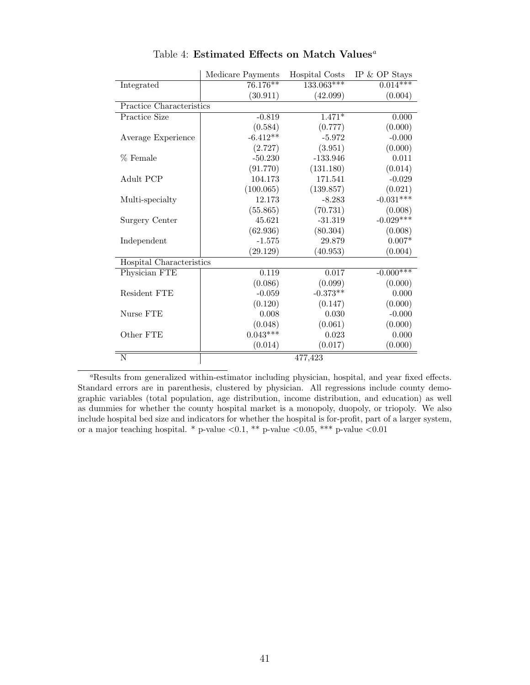<span id="page-40-0"></span>

|                          | Medicare Payments | Hospital Costs | IP $&$ OP Stays |
|--------------------------|-------------------|----------------|-----------------|
| Integrated               | $76.176**$        | $133.063***$   | $0.014***$      |
|                          | (30.911)          | (42.099)       | (0.004)         |
| Practice Characteristics |                   |                |                 |
| Practice Size            | $-0.819$          | $1.471*$       | 0.000           |
|                          | (0.584)           | (0.777)        | (0.000)         |
| Average Experience       | $-6.412**$        | $-5.972$       | $-0.000$        |
|                          | (2.727)           | (3.951)        | (0.000)         |
| % Female                 | $-50.230$         | $-133.946$     | 0.011           |
|                          | (91.770)          | (131.180)      | (0.014)         |
| Adult PCP                | 104.173           | 171.541        | $-0.029$        |
|                          | (100.065)         | (139.857)      | (0.021)         |
| Multi-specialty          | 12.173            | $-8.283$       | $-0.031***$     |
|                          | (55.865)          | (70.731)       | (0.008)         |
| Surgery Center           | 45.621            | $-31.319$      | $-0.029***$     |
|                          | (62.936)          | (80.304)       | (0.008)         |
| Independent              | $-1.575$          | 29.879         | $0.007*$        |
|                          | (29.129)          | (40.953)       | (0.004)         |
| Hospital Characteristics |                   |                |                 |
| Physician FTE            | 0.119             | 0.017          | $-0.000***$     |
|                          | (0.086)           | (0.099)        | (0.000)         |
| Resident FTE             | $-0.059$          | $-0.373**$     | 0.000           |
|                          | (0.120)           | (0.147)        | (0.000)         |
| Nurse FTE                | 0.008             | 0.030          | $-0.000$        |
|                          | (0.048)           | (0.061)        | (0.000)         |
| Other FTE                | $0.043***$        | 0.023          | 0.000           |
|                          | (0.014)           | (0.017)        | (0.000)         |
| N                        |                   | 477,423        |                 |
|                          |                   |                |                 |

T[a](#page-40-1)ble 4: Estimated Effects on Match Values<sup>*a*</sup>

<span id="page-40-1"></span><sup>a</sup>Results from generalized within-estimator including physician, hospital, and year fixed effects. Standard errors are in parenthesis, clustered by physician. All regressions include county demographic variables (total population, age distribution, income distribution, and education) as well as dummies for whether the county hospital market is a monopoly, duopoly, or triopoly. We also include hospital bed size and indicators for whether the hospital is for-profit, part of a larger system, or a major teaching hospital. \* p-value  $\langle 0.1, **$  p-value  $\langle 0.05, ***$  p-value  $\langle 0.01$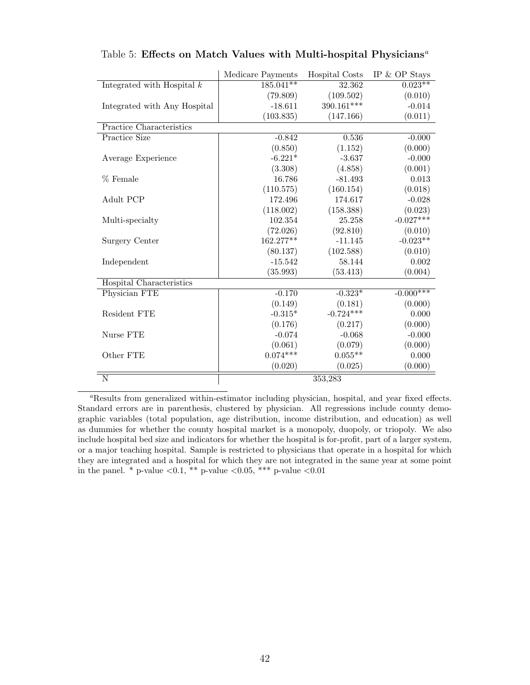|                              | Medicare Payments | Hospital Costs | IP $&$ OP Stays |
|------------------------------|-------------------|----------------|-----------------|
| Integrated with Hospital $k$ | $185.041**$       | 32.362         | $0.023**$       |
|                              | (79.809)          | (109.502)      | (0.010)         |
| Integrated with Any Hospital | $-18.611$         | 390.161***     | $-0.014$        |
|                              | (103.835)         | (147.166)      | (0.011)         |
| Practice Characteristics     |                   |                |                 |
| Practice Size                | $-0.842$          | 0.536          | $-0.000$        |
|                              | (0.850)           | (1.152)        | (0.000)         |
| Average Experience           | $-6.221*$         | $-3.637$       | $-0.000$        |
|                              | (3.308)           | (4.858)        | (0.001)         |
| % Female                     | 16.786            | $-81.493$      | 0.013           |
|                              | (110.575)         | (160.154)      | (0.018)         |
| Adult PCP                    | 172.496           | 174.617        | $-0.028$        |
|                              | (118.002)         | (158.388)      | (0.023)         |
| Multi-specialty              | 102.354           | 25.258         | $-0.027***$     |
|                              | (72.026)          | (92.810)       | (0.010)         |
| Surgery Center               | 162.277**         | $-11.145$      | $-0.023**$      |
|                              | (80.137)          | (102.588)      | (0.010)         |
| Independent                  | $-15.542$         | 58.144         | 0.002           |
|                              | (35.993)          | (53.413)       | (0.004)         |
| Hospital Characteristics     |                   |                |                 |
| Physician FTE                | $-0.170$          | $-0.323*$      | $-0.000***$     |
|                              | (0.149)           | (0.181)        | (0.000)         |
| Resident FTE                 | $-0.315*$         | $-0.724***$    | 0.000           |
|                              | (0.176)           | (0.217)        | (0.000)         |
| Nurse FTE                    | $-0.074$          | $-0.068$       | $-0.000$        |
|                              | (0.061)           | (0.079)        | (0.000)         |
| Other FTE                    | $0.074***$        | $0.055**$      | 0.000           |
|                              | (0.020)           | (0.025)        | (0.000)         |
| $\overline{\rm N}$           |                   | 353,283        |                 |

<span id="page-41-0"></span>T[a](#page-41-1)ble 5: Effects on Match Values with Multi-hospital Physicians<sup>a</sup>

<span id="page-41-1"></span><sup>a</sup>Results from generalized within-estimator including physician, hospital, and year fixed effects. Standard errors are in parenthesis, clustered by physician. All regressions include county demographic variables (total population, age distribution, income distribution, and education) as well as dummies for whether the county hospital market is a monopoly, duopoly, or triopoly. We also include hospital bed size and indicators for whether the hospital is for-profit, part of a larger system, or a major teaching hospital. Sample is restricted to physicians that operate in a hospital for which they are integrated and a hospital for which they are not integrated in the same year at some point in the panel. \* p-value  $< 0.1$ , \*\* p-value  $< 0.05$ , \*\*\* p-value  $< 0.01$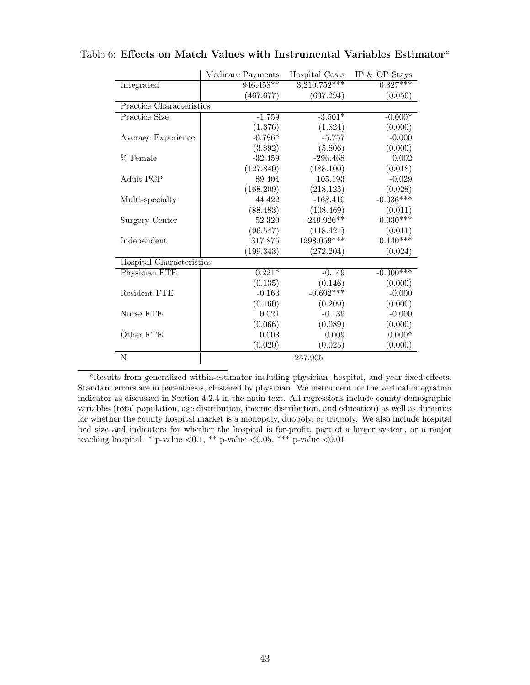|                          | Medicare Payments | Hospital Costs | IP $&$ OP Stays |
|--------------------------|-------------------|----------------|-----------------|
| Integrated               | $946.458**$       | $3,210.752***$ | $0.327***$      |
|                          | (467.677)         | (637.294)      | (0.056)         |
| Practice Characteristics |                   |                |                 |
| Practice Size            | $-1.759$          | $-3.501*$      | $-0.000*$       |
|                          | (1.376)           | (1.824)        | (0.000)         |
| Average Experience       | $-6.786*$         | $-5.757$       | $-0.000$        |
|                          | (3.892)           | (5.806)        | (0.000)         |
| % Female                 | $-32.459$         | $-296.468$     | 0.002           |
|                          | (127.840)         | (188.100)      | (0.018)         |
| Adult PCP                | 89.404            | 105.193        | $-0.029$        |
|                          | (168.209)         | (218.125)      | (0.028)         |
| Multi-specialty          | 44.422            | $-168.410$     | $-0.036***$     |
|                          | (88.483)          | (108.469)      | (0.011)         |
| Surgery Center           | 52.320            | $-249.926**$   | $-0.030***$     |
|                          | (96.547)          | (118.421)      | (0.011)         |
| Independent              | 317.875           | 1298.059***    | $0.140***$      |
|                          | (199.343)         | (272.204)      | (0.024)         |
| Hospital Characteristics |                   |                |                 |
| Physician FTE            | $0.221*$          | $-0.149$       | $-0.000***$     |
|                          | (0.135)           | (0.146)        | (0.000)         |
| Resident FTE             | $-0.163$          | $-0.692***$    | $-0.000$        |
|                          | (0.160)           | (0.209)        | (0.000)         |
| Nurse FTE                | 0.021             | $-0.139$       | $-0.000$        |
|                          | (0.066)           | (0.089)        | (0.000)         |
| Other FTE                | 0.003             | 0.009          | $0.000*$        |
|                          | (0.020)           | (0.025)        | (0.000)         |
| N                        |                   | 257,905        |                 |

### <span id="page-42-0"></span>T[a](#page-42-1)ble 6: Effects on Match Values with Instrumental Variables Estimator<sup>a</sup>

<span id="page-42-1"></span><sup>a</sup>Results from generalized within-estimator including physician, hospital, and year fixed effects. Standard errors are in parenthesis, clustered by physician. We instrument for the vertical integration indicator as discussed in Section [4.2.4](#page-23-1) in the main text. All regressions include county demographic variables (total population, age distribution, income distribution, and education) as well as dummies for whether the county hospital market is a monopoly, duopoly, or triopoly. We also include hospital bed size and indicators for whether the hospital is for-profit, part of a larger system, or a major teaching hospital. \* p-value  $\langle 0.1, \ast \ast \ast \rangle$  p-value  $\langle 0.05, \ast \ast \ast \ast \rangle$  p-value  $\langle 0.01 \rangle$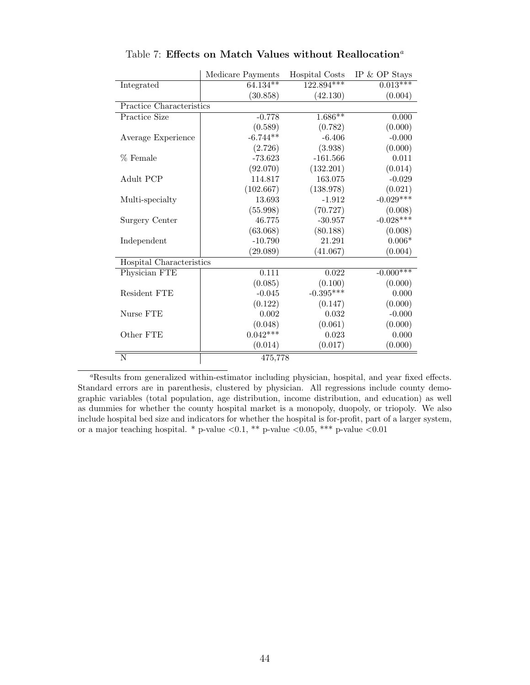<span id="page-43-0"></span>

|                          | Medicare Payments | Hospital Costs | IP $&$ OP Stays |
|--------------------------|-------------------|----------------|-----------------|
| Integrated               | $64.134**$        | $122.894***$   | $0.013***$      |
|                          | (30.858)          | (42.130)       | (0.004)         |
| Practice Characteristics |                   |                |                 |
| Practice Size            | $-0.778$          | $1.686**$      | 0.000           |
|                          | (0.589)           | (0.782)        | (0.000)         |
| Average Experience       | $-6.744**$        | $-6.406$       | $-0.000$        |
|                          | (2.726)           | (3.938)        | (0.000)         |
| % Female                 | $-73.623$         | $-161.566$     | 0.011           |
|                          | (92.070)          | (132.201)      | (0.014)         |
| Adult PCP                | 114.817           | 163.075        | $-0.029$        |
|                          | (102.667)         | (138.978)      | (0.021)         |
| Multi-specialty          | 13.693            | $-1.912$       | $-0.029***$     |
|                          | (55.998)          | (70.727)       | (0.008)         |
| Surgery Center           | 46.775            | $-30.957$      | $-0.028***$     |
|                          | (63.068)          | (80.188)       | (0.008)         |
| Independent              | $-10.790$         | 21.291         | $0.006*$        |
|                          | (29.089)          | (41.067)       | (0.004)         |
| Hospital Characteristics |                   |                |                 |
| Physician FTE            | 0.111             | 0.022          | $-0.000***$     |
|                          | (0.085)           | (0.100)        | (0.000)         |
| Resident FTE             | $-0.045$          | $-0.395***$    | 0.000           |
|                          | (0.122)           | (0.147)        | (0.000)         |
| Nurse FTE                | 0.002             | 0.032          | $-0.000$        |
|                          | (0.048)           | (0.061)        | (0.000)         |
| Other FTE                | $0.042***$        | 0.023          | 0.000           |
|                          | (0.014)           | (0.017)        | (0.000)         |
| N                        | 475,778           |                |                 |

T[a](#page-43-1)ble 7: Effects on Match Values without Reallocation<sup>a</sup>

<span id="page-43-1"></span><sup>a</sup>Results from generalized within-estimator including physician, hospital, and year fixed effects. Standard errors are in parenthesis, clustered by physician. All regressions include county demographic variables (total population, age distribution, income distribution, and education) as well as dummies for whether the county hospital market is a monopoly, duopoly, or triopoly. We also include hospital bed size and indicators for whether the hospital is for-profit, part of a larger system, or a major teaching hospital. \* p-value  $\langle 0.1, **$  p-value  $\langle 0.05, ***$  p-value  $\langle 0.01$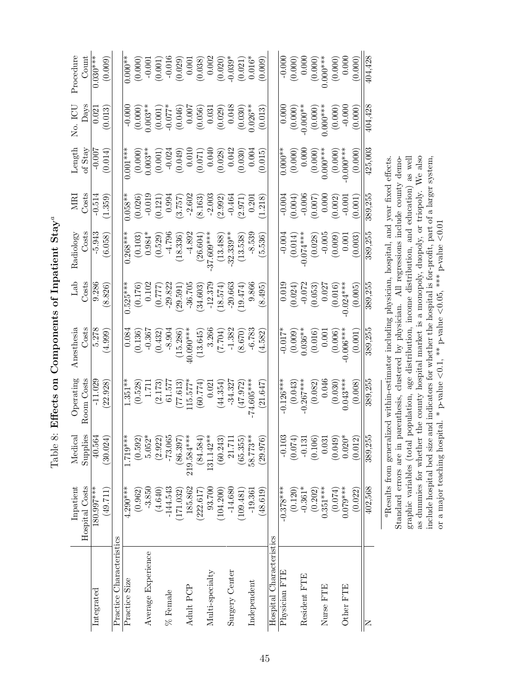Table 8: Effects on Components of Inpatient Stay<sup>ª</sup> T[a](#page-44-1)ble 8: Effects on Components of Inpatient  $\operatorname{\mathsf{Stay}}^a$ 

<span id="page-44-1"></span><span id="page-44-0"></span>

|                          | Inpatient<br>Hospital Costs | Medical<br>Supplies                 | Operating<br>Room Costs                  | Costs<br>Anesthesia    | Lab<br>Costs   | Costs<br>Radiology              | Costs<br>MRJ                                                       | Length<br>of $Stay$   | Days<br>No. ICU       | Procedure<br>$_{\rm Count}$ |
|--------------------------|-----------------------------|-------------------------------------|------------------------------------------|------------------------|----------------|---------------------------------|--------------------------------------------------------------------|-----------------------|-----------------------|-----------------------------|
| $\rm Interated$          | 180.997***                  | 40.564                              | $-11.029$                                | 5.278                  | 9.286          | $-5.943$                        | $-0.514$                                                           | $-0.007$              | 0.021                 | $0.030***$                  |
|                          | (49.711)                    | (30.024)                            | 22.928                                   | (4.999)                | 8.826          | (6.058)                         | 1.359                                                              | (0.014)               | 0.013                 | (0.009)                     |
| Practice Characteristics |                             |                                     |                                          |                        |                |                                 |                                                                    |                       |                       |                             |
| Practice Size            | $4.290***$                  | $1.719***$                          | $1.351**$                                | 0.08 <sub>4</sub>      | $0.525***$     | $0.268**$                       | $0.058**$                                                          | $0.001***$            | $-0.000$              | $0.000**$                   |
|                          | (0.962)                     | (0.592)                             | (0.528)                                  | (0.136)                | (0.176)        |                                 | (0.026)                                                            |                       | (0.000)               | (0.000)                     |
| Average Experience       | $-3.850$                    | $5.052*$                            | $1.71\,$                                 | $-0.367$               | $0.10^{\circ}$ | $(0.103)$<br>$0.984*$           | $-0.01$                                                            | $(0.000)$<br>0.003**  | $0.003**$             | $-0.001$                    |
|                          | (4.640)                     | (2.922)                             | (2.173)                                  | (0.432)                | (0.777)        | (0.529)                         | (0.121)                                                            | (0.001)               |                       | (0.001)                     |
| % Female                 | $-144.543$                  | $-73.065$                           | 61.577                                   | $-8.904$               | $-29.822$      | $-4.796$                        | 0.994                                                              | $-0.024$              | (0.001)               | $-0.016$                    |
|                          | (171.032)                   | (86.397)                            | (77.613)                                 | (15.286)               | 29.591         | (18.336)                        |                                                                    | (0.049)               | (0.046)               | (0.029)                     |
| Adult PCP                | 185.862                     | 219.584***                          | $115.577*$                               | 40.090***              | $-36.705$      | $-4.892$                        |                                                                    | 0.010                 |                       | 0.001                       |
|                          | (222.617)                   | (84.584)                            | (60.774)                                 | (13.645)               | (34.603)       | (26.604)                        | $\begin{array}{c} (3.757) \\ -2.602 \\ \hline (8.163) \end{array}$ | (0.071)               | (9.000)               | (0.038)                     |
| Multi-specialty          | 93.700                      | $131.142**$                         | 0.021                                    | 3.266                  | $-12.379$      | $37.609***$                     | $-2.003$                                                           | 0.040                 | (0.031)               |                             |
|                          | (104.200)                   | (60.243)                            | (44.354)                                 | (1.7007, 7)            | (18.574)       | $(13.488)$<br>$-32.339$ **      | (2.992)                                                            | (0.028)               |                       | (0.002)                     |
| Surgery Center           | $-14.680$                   | 21.711                              | $-34.327$                                | $-1.382$               | $-20.663$      |                                 | $-0.464$                                                           | 0.042                 | 0.048                 | $-0.039*$                   |
|                          | (109.481)                   | (65.355)                            | (47.972)                                 | (8.670)                | (19.474)       | (13.538)                        | (2.971)                                                            | (0.030)               | (0.030)               | (0.021)                     |
| Independent              | $-19.36$                    | 58.773**                            | $-74.605***$                             | $-6.783$               | 9.866          | $-8.539$                        | 0.201                                                              | 0.004                 | $0.026**$             | $0.016*$                    |
|                          | (48.619)                    | (29.976)                            | (21.647                                  | 4.582                  | 8.495          | 5.536                           | 1.218                                                              | (0.015)               | (0.013)               | (0.009)                     |
| Hospital Characteristics |                             |                                     |                                          |                        |                |                                 |                                                                    |                       |                       |                             |
| Physician FTE            | $-0.378***$                 | $-0.103$                            | $-0.126***$                              | $-0.017$ <sup>*</sup>  | 0.018          | $-0.004$                        | $-0.004$                                                           | $0.000**$             | 0.000                 | $-0.000$                    |
|                          | (0.120)                     | (0.074)                             | $(0.043)$<br>$-0.267***$                 | $(0.009)$<br>$0.036**$ | (0.024)        | $(0.014)$<br>$(0.014)$          | (0.004)                                                            | (0.000)               | $(0.000)$<br>-0.000** | (0.000)                     |
| Resident FTE             | $-0.361*$                   | $-0.131$                            |                                          |                        | $-0.072$       |                                 | $-0.006$                                                           | 0.000                 |                       | 0.000                       |
|                          | (0.202)                     | (0.106)                             | (0.082)                                  | (0.016)                | (0.053)        | (0.028)                         | (0.007)                                                            | $(0.000)$<br>0.000*** | $(0.000)$<br>0.000*** | $(0.000)$<br>$0.000***$     |
| Nurse FTE                | $0.351***$                  | $\,0.031$                           | 0.046                                    | 0.001                  | 0.027          | $-0.005$                        | 0.000                                                              |                       |                       |                             |
|                          | (0.074)                     | (0.049)                             | (0.030)                                  | (0.006)                | (0.016)        | (0.009)                         | (0.002)                                                            | (0.000)               | (0.000)               | (0.000)                     |
| Other FTE                | $0.079***$                  | $0.020*$                            | $0.043***$                               | $0.006***$             | $-0.024***$    | 0.001                           | $-0.001$                                                           | $0.000**$             | $-0.000$              | 0.000                       |
|                          | (0.022)                     | (0.012)                             | (0.008)                                  | (0.001)                | (0.005)        | (0.003)                         | (0.001)                                                            | (0.000)               | (0.000)               | (0.000)                     |
| Z                        | 402,568                     | 389,255                             | 389,255                                  | 389,255                | 389,255        | 389,255                         | 389,255                                                            | 425,003               | 404,428               | 404,428                     |
|                          |                             | $a_{\text{Rearilte}}$ from conorali | zed within-estimator including physician |                        |                | hoenital and waar fived effects |                                                                    |                       |                       |                             |

-ressuus rrom generanzea wrunn-estimator miciuding physician, nospitat, and year nxea enects.<br>Standard errors are in parenthesis, clustered by physician. All regressions include county demographic variables (total population, age distribution, income distribution, and education) as well as dummies for whether the county hospital market is a monopoly, duopoly, or triopoly. We also include hospital bed size and indicators for whether the hospital is for-profit, part of a larger system, or a major teaching hospital. \* p-value <0.1, \*\* p-value <0.05, \*\*\* p-value <0.01 aResults from generalized within-estimator including physician, hospital, and year fixed effects. Standard errors are in parenthesis, clustered by physician. All regressions include county demographic variables (total population, age distribution, income distribution, and education) as well as dummies for whether the county hospital market is a monopoly, duopoly, or triopoly. We also include hospital bed size and indicators for whether the hospital is for-profit, part of a larger system, or a major teaching hospital.  $*$  p-value  $\langle 0.1, **$  p-value  $\langle 0.05, **$  p-value  $\langle 0.01$